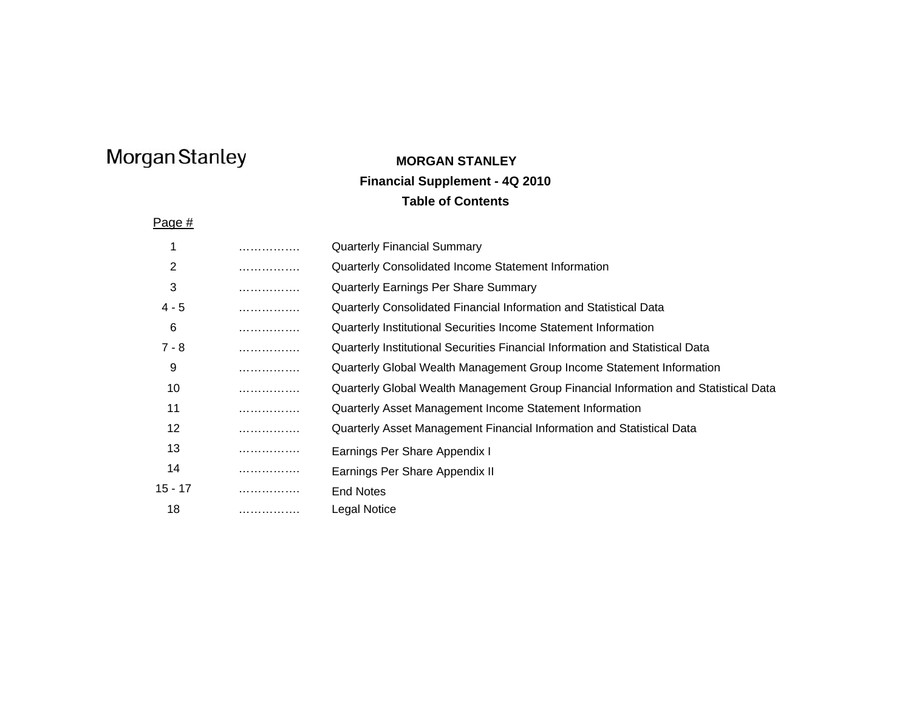### **MORGAN STANLEY Financial Supplement - 4Q 2010 Table of Contents**

Page #

| 1       | . | <b>Quarterly Financial Summary</b>                                                  |
|---------|---|-------------------------------------------------------------------------------------|
| 2       | . | Quarterly Consolidated Income Statement Information                                 |
| 3       | . | <b>Quarterly Earnings Per Share Summary</b>                                         |
| $4 - 5$ | . | Quarterly Consolidated Financial Information and Statistical Data                   |
| 6       | . | Quarterly Institutional Securities Income Statement Information                     |
| 7 - 8   | . | Quarterly Institutional Securities Financial Information and Statistical Data       |
| 9       | . | Quarterly Global Wealth Management Group Income Statement Information               |
| 10      | . | Quarterly Global Wealth Management Group Financial Information and Statistical Data |
| 11      | . | Quarterly Asset Management Income Statement Information                             |
| 12      | . | Quarterly Asset Management Financial Information and Statistical Data               |
| 13      | . | Earnings Per Share Appendix I                                                       |
| 14      | . | Earnings Per Share Appendix II                                                      |
| 15 - 17 | . | <b>End Notes</b>                                                                    |
| 18      | . | Legal Notice                                                                        |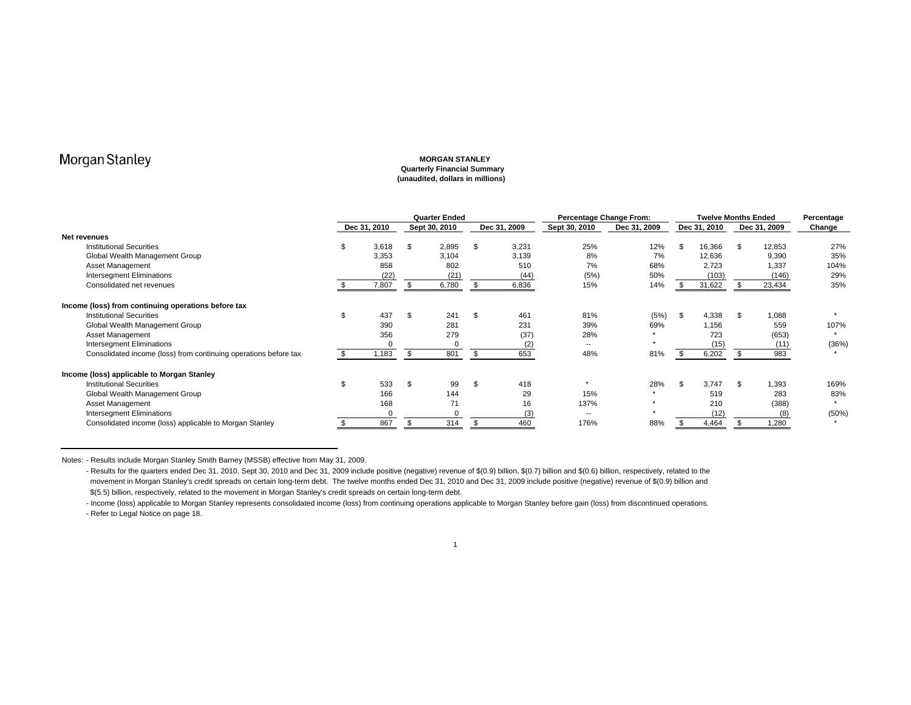#### **MORGAN STANLEY Quarterly Financial Summary (unaudited, dollars in millions)**

|                                                                  | <b>Quarter Ended</b> |              |    |               |    |              | Percentage Change From: |              | <b>Twelve Months Ended</b> | Percentage   |     |              |        |
|------------------------------------------------------------------|----------------------|--------------|----|---------------|----|--------------|-------------------------|--------------|----------------------------|--------------|-----|--------------|--------|
|                                                                  |                      | Dec 31, 2010 |    | Sept 30, 2010 |    | Dec 31, 2009 | Sept 30, 2010           | Dec 31, 2009 |                            | Dec 31, 2010 |     | Dec 31, 2009 | Change |
| Net revenues                                                     |                      |              |    |               |    |              |                         |              |                            |              |     |              |        |
| <b>Institutional Securities</b>                                  | \$                   | 3,618        | \$ | 2,895         | \$ | 3,231        | 25%                     | 12%          | \$                         | 16,366       | \$  | 12,853       | 27%    |
| Global Wealth Management Group                                   |                      | 3,353        |    | 3,104         |    | 3,139        | 8%                      | 7%           |                            | 12,636       |     | 9,390        | 35%    |
| Asset Management                                                 |                      | 858          |    | 802           |    | 510          | 7%                      | 68%          |                            | 2,723        |     | 1,337        | 104%   |
| Intersegment Eliminations                                        |                      | (22)         |    | (21)          |    | (44)         | (5%)                    | 50%          |                            | (103)        |     | (146)        | 29%    |
| Consolidated net revenues                                        |                      | 7,807        |    | 6,780         |    | 6,836        | 15%                     | 14%          |                            | 31,622       |     | 23,434       | 35%    |
| Income (loss) from continuing operations before tax              |                      |              |    |               |    |              |                         |              |                            |              |     |              |        |
| <b>Institutional Securities</b>                                  |                      | 437          | \$ | 241           | \$ | 461          | 81%                     | (5%)         | \$                         | 4,338        | \$. | 1,088        |        |
| Global Wealth Management Group                                   |                      | 390          |    | 281           |    | 231          | 39%                     | 69%          |                            | 1,156        |     | 559          | 107%   |
| Asset Management                                                 |                      | 356          |    | 279           |    | (37)         | 28%                     |              |                            | 723          |     | (653)        |        |
| Intersegment Eliminations                                        |                      |              |    |               |    | (2)          | $\sim$                  |              |                            | (15)         |     | (11)         | (36%)  |
| Consolidated income (loss) from continuing operations before tax |                      | .183         | \$ | 801           |    | 653          | 48%                     | 81%          |                            | 6,202        |     | 983          |        |
| Income (loss) applicable to Morgan Stanley                       |                      |              |    |               |    |              |                         |              |                            |              |     |              |        |
| <b>Institutional Securities</b>                                  |                      | 533          | \$ | 99            | \$ | 418          |                         | 28%          | - \$                       | 3,747        |     | 1,393        | 169%   |
| Global Wealth Management Group                                   |                      | 166          |    | 144           |    | 29           | 15%                     | <b>*</b>     |                            | 519          |     | 283          | 83%    |
| Asset Management                                                 |                      | 168          |    | 71            |    | 16           | 137%                    |              |                            | 210          |     | (388)        |        |
| Intersegment Eliminations                                        |                      |              |    |               |    | (3)          | $\sim$                  | $\star$      |                            | (12)         |     | (8)          | (50%)  |
| Consolidated income (loss) applicable to Morgan Stanley          |                      | 867          |    | 314           |    | 460          | 176%                    | 88%          |                            | 4,464        |     | 1,280        |        |

Notes: - Results include Morgan Stanley Smith Barney (MSSB) effective from May 31, 2009.

- Results for the quarters ended Dec 31, 2010, Sept 30, 2010 and Dec 31, 2009 include positive (negative) revenue of \$(0.9) billion, \$(0.7) billion and \$(0.6) billion, respectively, related to the movement in Morgan Stanley's credit spreads on certain long-term debt. The twelve months ended Dec 31, 2010 and Dec 31, 2009 include positive (negative) revenue of \$(0.9) billion and \$(5.5) billion, respectively, related to the movement in Morgan Stanley's credit spreads on certain long-term debt.

- Income (loss) applicable to Morgan Stanley represents consolidated income (loss) from continuing operations applicable to Morgan Stanley before gain (loss) from discontinued operations. - Refer to Legal Notice on page 18.

### 1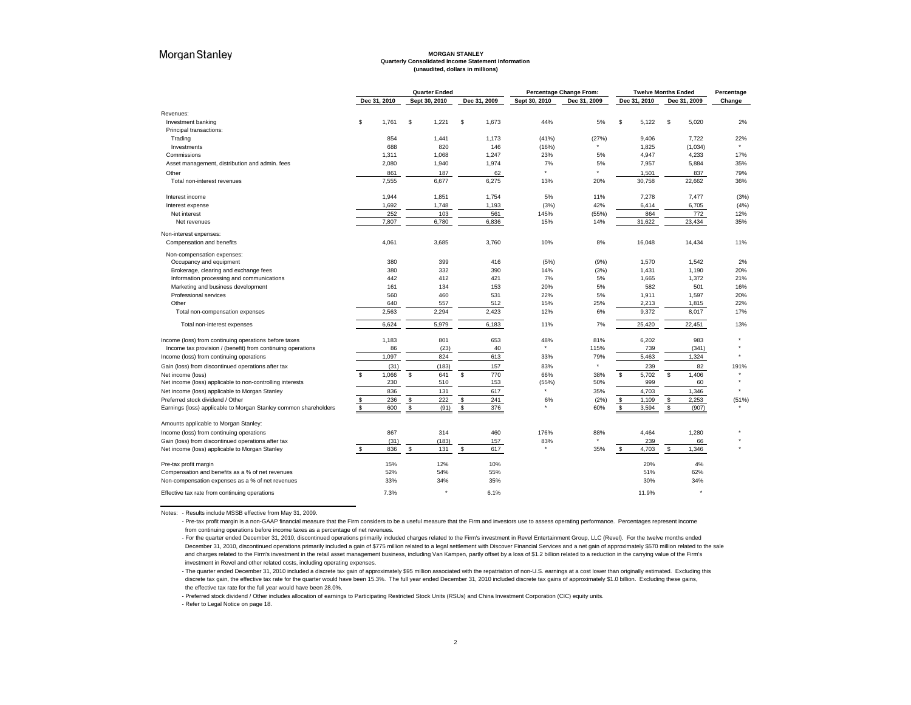#### **MORGAN STANLEY Quarterly Consolidated Income Statement Information (unaudited, dollars in millions)**

|                                                                  | <b>Quarter Ended</b> |              |    |               |                | Percentage Change From: |               |              | <b>Twelve Months Ended</b> |              | Percentage   |              |           |
|------------------------------------------------------------------|----------------------|--------------|----|---------------|----------------|-------------------------|---------------|--------------|----------------------------|--------------|--------------|--------------|-----------|
|                                                                  |                      | Dec 31, 2010 |    | Sept 30, 2010 |                | Dec 31, 2009            | Sept 30, 2010 | Dec 31, 2009 |                            | Dec 31, 2010 |              | Dec 31, 2009 | Change    |
| Revenues:                                                        |                      |              |    |               |                |                         |               |              |                            |              |              |              |           |
| Investment banking                                               | \$                   | 1,761        | \$ | 1,221         | \$             | 1,673                   | 44%           | 5%           | \$                         | 5,122        | \$           | 5,020        | 2%        |
| Principal transactions:                                          |                      |              |    |               |                |                         |               |              |                            |              |              |              |           |
| Trading                                                          |                      | 854          |    | 1,441         |                | 1,173                   | (41%)         | (27%)        |                            | 9,406        |              | 7,722        | 22%       |
| Investments                                                      |                      | 688          |    | 820           |                | 146                     | (16%)         |              |                            | 1,825        |              | (1,034)      |           |
| Commissions                                                      |                      | 1,311        |    | 1,068         |                | 1,247                   | 23%           | 5%           |                            | 4,947        |              | 4,233        | 17%       |
| Asset management, distribution and admin. fees                   |                      | 2,080        |    | 1,940         |                | 1,974                   | 7%            | 5%           |                            | 7,957        |              | 5,884        | 35%       |
| Other                                                            |                      | 861          |    | 187           |                | 62                      |               |              |                            | 1,501        |              | 837          | 79%       |
| Total non-interest revenues                                      |                      | 7,555        |    | 6,677         |                | 6,275                   | 13%           | 20%          |                            | 30,758       |              | 22,662       | 36%       |
| Interest income                                                  |                      | 1,944        |    | 1,851         |                | 1,754                   | 5%            | 11%          |                            | 7,278        |              | 7,477        | (3%)      |
| Interest expense                                                 |                      | 1,692        |    | 1,748         |                | 1,193                   | (3%)          | 42%          |                            | 6,414        |              | 6,705        | (4% )     |
| Net interest                                                     |                      | 252          |    | 103           |                | 561                     | 145%          | (55%)        |                            | 864          |              | 772          | 12%       |
| Net revenues                                                     |                      | 7,807        |    | 6,780         |                | 6,836                   | 15%           | 14%          |                            | 31,622       |              | 23,434       | 35%       |
| Non-interest expenses:                                           |                      |              |    |               |                |                         |               |              |                            |              |              |              |           |
| Compensation and benefits                                        |                      | 4,061        |    | 3,685         |                | 3,760                   | 10%           | 8%           |                            | 16,048       |              | 14,434       | 11%       |
| Non-compensation expenses:                                       |                      |              |    |               |                |                         |               |              |                            |              |              |              |           |
| Occupancy and equipment                                          |                      | 380          |    | 399           |                | 416                     | (5%)          | (9%)         |                            | 1,570        |              | 1,542        | 2%        |
| Brokerage, clearing and exchange fees                            |                      | 380          |    | 332           |                | 390                     | 14%           | (3%)         |                            | 1,431        |              | 1,190        | 20%       |
| Information processing and communications                        |                      | 442          |    | 412           |                | 421                     | 7%            | 5%           |                            | 1,665        |              | 1,372        | 21%       |
| Marketing and business development                               |                      | 161          |    | 134           |                | 153                     | 20%           | 5%           |                            | 582          |              | 501          | 16%       |
| Professional services                                            |                      | 560          |    | 460           |                | 531                     | 22%           | 5%           |                            | 1,911        |              | 1,597        | 20%       |
| Other                                                            |                      | 640          |    | 557           |                | 512                     | 15%           | 25%          |                            | 2,213        |              | 1,815        | 22%       |
| Total non-compensation expenses                                  |                      | 2,563        |    | 2,294         |                | 2,423                   | 12%           | 6%           |                            | 9,372        |              | 8,017        | 17%       |
| Total non-interest expenses                                      |                      | 6,624        |    | 5,979         |                | 6,183                   | 11%           | 7%           |                            | 25,420       |              | 22,451       | 13%       |
| Income (loss) from continuing operations before taxes            |                      | 1,183        |    | 801           |                | 653                     | 48%           | 81%          |                            | 6,202        |              | 983          |           |
| Income tax provision / (benefit) from continuing operations      |                      | 86           |    | (23)          |                | 40                      | $\star$       | 115%         |                            | 739          |              | (341)        |           |
| Income (loss) from continuing operations                         |                      | 1,097        |    | 824           |                | 613                     | 33%           | 79%          |                            | 5,463        |              | 1,324        |           |
| Gain (loss) from discontinued operations after tax               |                      | (31)         |    | (183)         |                | 157                     | 83%           | $\star$      |                            | 239          |              | 82           | 191%      |
| Net income (loss)                                                | \$                   | 1,066        | Ŝ. | 641           | s.             | 770                     | 66%           | 38%          | \$                         | 5,702        | \$           | 1,406        | $\bullet$ |
| Net income (loss) applicable to non-controlling interests        |                      | 230          |    | 510           |                | 153                     | (55%)         | 50%          |                            | 999          |              | 60           |           |
| Net income (loss) applicable to Morgan Stanley                   |                      | 836          |    | 131           |                | 617                     | $\bullet$     | 35%          |                            | 4,703        |              | 1,346        | $\bullet$ |
| Preferred stock dividend / Other                                 | $\frac{3}{3}$        | 236          | \$ | 222           | $$\mathbb{S}$$ | 241                     | 6%            | (2%)         | $\,$                       | 1,109        | $\,$         | 2,253        | (51%)     |
| Earnings (loss) applicable to Morgan Stanley common shareholders |                      | 600          | \$ | (91)          | \$             | 376                     |               | 60%          | $\mathfrak s$              | 3,594        | $\mathbb{S}$ | (907)        |           |
| Amounts applicable to Morgan Stanley:                            |                      |              |    |               |                |                         |               |              |                            |              |              |              |           |
| Income (loss) from continuing operations                         |                      | 867          |    | 314           |                | 460                     | 176%          | 88%          |                            | 4,464        |              | 1,280        |           |
| Gain (loss) from discontinued operations after tax               |                      | (31)         |    | (183)         |                | 157                     | 83%           |              |                            | 239          |              | 66           |           |
| Net income (loss) applicable to Morgan Stanley                   | \$                   | 836          | \$ | 131           | \$             | 617                     |               | 35%          | \$                         | 4,703        | \$           | 1,346        |           |
| Pre-tax profit margin                                            |                      | 15%          |    | 12%           |                | 10%                     |               |              |                            | 20%          |              | 4%           |           |
| Compensation and benefits as a % of net revenues                 |                      | 52%          |    | 54%           |                | 55%                     |               |              |                            | 51%          |              | 62%          |           |
| Non-compensation expenses as a % of net revenues                 |                      | 33%          |    | 34%           |                | 35%                     |               |              |                            | 30%          |              | 34%          |           |
| Effective tax rate from continuing operations                    |                      | 7.3%         |    |               |                | 6.1%                    |               |              |                            | 11.9%        |              |              |           |

Notes: - Results include MSSB effective from May 31, 2009.

- Pre-tax profit margin is a non-GAAP financial measure that the Firm considers to be a useful measure that the Firm and investors use to assess operating performance. Percentages represent income from continuing operations before income taxes as a percentage of net revenues.

- Preferred stock dividend / Other includes allocation of earnings to Participating Restricted Stock Units (RSUs) and China Investment Corporation (CIC) equity units.

<sup>-</sup> For the quarter ended December 31, 2010, discontinued operations primarily included charges related to the Firm's investment in Revel Entertainment Group, LLC (Revel). For the twelve months ended December 31, 2010, discontinued operations primarily included a gain of \$775 million related to a legal settlement with Discover Financial Services and a net gain of approximately \$570 million related to the sale and charges related to the Firm's investment in the retail asset management business, including Van Kampen, partly offset by a loss of \$1.2 billion related to a reduction in the carrying value of the Firm's investment in Revel and other related costs, including operating expenses.

<sup>-</sup> The quarter ended December 31, 2010 included a discrete tax gain of approximately \$95 million associated with the repatriation of non-U.S. earnings at a cost lower than originally estimated. Excluding this discrete tax gain, the effective tax rate for the quarter would have been 15.3%. The full year ended December 31, 2010 included discrete tax gains of approximately \$1.0 billion. Excluding these gains, the effective tax rate for the full year would have been 28.0%.

<sup>-</sup> Refer to Legal Notice on page 18.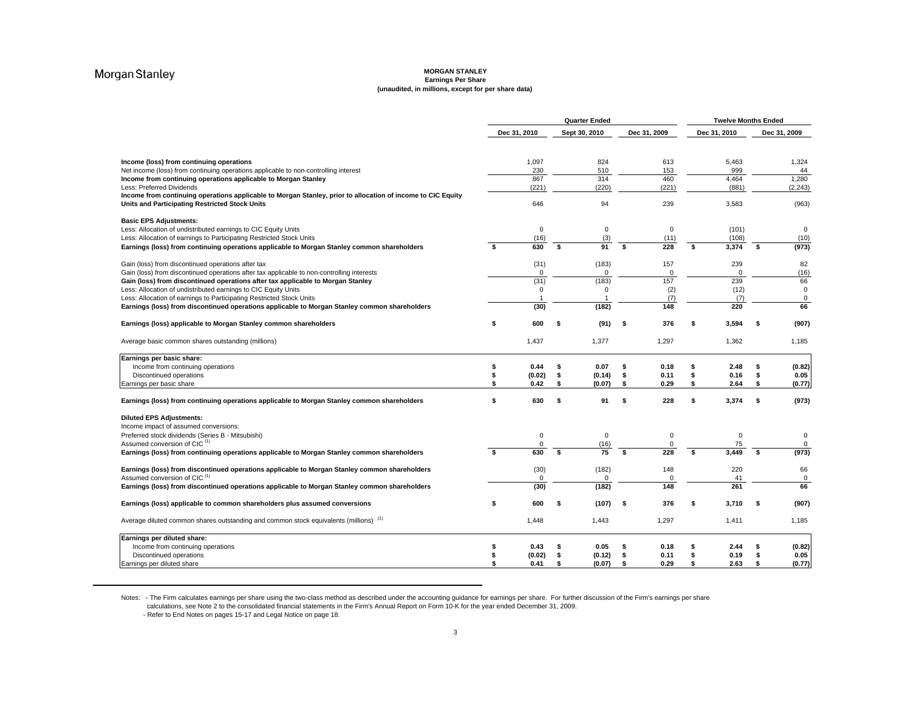#### **MORGAN STANLEY Earnings Per Share (unaudited, in millions, except for per share data)**

|                                                                                                                                                                       | <b>Quarter Ended</b> |               |    |                     |    |                         | <b>Twelve Months Ended</b> |                   |     |                            |  |
|-----------------------------------------------------------------------------------------------------------------------------------------------------------------------|----------------------|---------------|----|---------------------|----|-------------------------|----------------------------|-------------------|-----|----------------------------|--|
|                                                                                                                                                                       | Dec 31, 2010         |               |    | Sept 30, 2010       |    | Dec 31, 2009            |                            | Dec 31, 2010      |     | Dec 31, 2009               |  |
| Income (loss) from continuing operations                                                                                                                              |                      | 1,097         |    | 824                 |    | 613                     |                            | 5,463             |     | 1,324                      |  |
| Net income (loss) from continuing operations applicable to non-controlling interest                                                                                   |                      | 230           |    | 510                 |    | 153                     |                            | 999               |     | 44                         |  |
| Income from continuing operations applicable to Morgan Stanley                                                                                                        |                      | 867           |    | 314                 |    | 460                     |                            | 4.464             |     | 1,280                      |  |
| Less: Preferred Dividends                                                                                                                                             |                      | (221)         |    | (220)               |    | (221)                   |                            | (881)             |     | (2, 243)                   |  |
| Income from continuing operations applicable to Morgan Stanley, prior to allocation of income to CIC Equity<br><b>Units and Participating Restricted Stock Units</b>  |                      | 646           |    | 94                  |    | 239                     |                            | 3,583             |     | (963)                      |  |
| <b>Basic EPS Adjustments:</b>                                                                                                                                         |                      |               |    |                     |    |                         |                            |                   |     |                            |  |
| Less: Allocation of undistributed earnings to CIC Equity Units<br>Less: Allocation of earnings to Participating Restricted Stock Units                                |                      | $\mathbf 0$   |    | $\mathbf 0$<br>(3)  |    | $\mathbf 0$             |                            | (101)<br>(108)    |     | $\mathbf 0$<br>(10)        |  |
| Earnings (loss) from continuing operations applicable to Morgan Stanley common shareholders                                                                           | S.                   | (16)<br>630   | Ŝ. | $\overline{91}$     | \$ | (11)<br>228             | \$                         | 3.374             | -96 | (973)                      |  |
|                                                                                                                                                                       |                      |               |    |                     |    |                         |                            |                   |     |                            |  |
| Gain (loss) from discontinued operations after tax                                                                                                                    |                      | (31)          |    | (183)               |    | 157                     |                            | 239               |     | 82                         |  |
| Gain (loss) from discontinued operations after tax applicable to non-controlling interests                                                                            |                      | $\Omega$      |    | $\Omega$            |    | $\Omega$                |                            | $\Omega$          |     | (16)                       |  |
| Gain (loss) from discontinued operations after tax applicable to Morgan Stanley                                                                                       |                      | (31)          |    | (183)               |    | 157                     |                            | 239               |     | 66                         |  |
| Less: Allocation of undistributed earnings to CIC Equity Units                                                                                                        |                      | $\mathbf 0$   |    | $\Omega$            |    | (2)                     |                            | (12)              |     | $\mathbf 0$                |  |
| Less: Allocation of earnings to Participating Restricted Stock Units<br>Earnings (loss) from discontinued operations applicable to Morgan Stanley common shareholders |                      | (30)          |    | (182)               |    | (7)<br>148              |                            | (7)<br>220        |     | $\mathbf 0$<br>66          |  |
|                                                                                                                                                                       |                      |               |    |                     |    |                         |                            |                   |     |                            |  |
| Earnings (loss) applicable to Morgan Stanley common shareholders                                                                                                      | \$                   | 600           | \$ | (91)                | \$ | 376                     | \$                         | 3,594             | s   | (907)                      |  |
| Average basic common shares outstanding (millions)                                                                                                                    |                      | 1,437         |    | 1,377               |    | 1,297                   |                            | 1,362             |     | 1,185                      |  |
| Earnings per basic share:                                                                                                                                             |                      |               |    |                     |    |                         |                            |                   |     |                            |  |
| Income from continuing operations                                                                                                                                     | \$                   | 0.44          | \$ | 0.07                | \$ | 0.18                    | \$                         | 2.48              | \$  | (0.82)                     |  |
| Discontinued operations                                                                                                                                               | \$                   | (0.02)        | \$ | (0.14)              | \$ | 0.11                    | \$                         | 0.16              | \$  | 0.05                       |  |
| Earnings per basic share                                                                                                                                              | \$                   | 0.42          | S. | (0.07)              | s. | 0.29                    | \$                         | 2.64              | s   | (0.77)                     |  |
| Earnings (loss) from continuing operations applicable to Morgan Stanley common shareholders                                                                           | \$                   | 630           | s. | 91                  | s  | 228                     | s                          | 3,374             | \$  | (973)                      |  |
| <b>Diluted EPS Adjustments:</b>                                                                                                                                       |                      |               |    |                     |    |                         |                            |                   |     |                            |  |
| Income impact of assumed conversions:                                                                                                                                 |                      |               |    |                     |    |                         |                            |                   |     |                            |  |
| Preferred stock dividends (Series B - Mitsubishi)<br>Assumed conversion of CIC <sup>(1)</sup>                                                                         |                      | 0<br>$\Omega$ |    | $\mathbf 0$<br>(16) |    | $\mathbf 0$<br>$\Omega$ |                            | $\mathsf 0$<br>75 |     | $\mathbf 0$<br>$\mathbf 0$ |  |
| Earnings (loss) from continuing operations applicable to Morgan Stanley common shareholders                                                                           | s.                   | 630           | \$ | $\overline{75}$     |    | 228                     |                            | 3.449             | \$  | (973)                      |  |
|                                                                                                                                                                       |                      |               |    |                     |    |                         |                            |                   |     |                            |  |
| Earnings (loss) from discontinued operations applicable to Morgan Stanley common shareholders                                                                         |                      | (30)          |    | (182)               |    | 148                     |                            | 220               |     | 66                         |  |
| Assumed conversion of CIC <sup>(1)</sup>                                                                                                                              |                      | $\mathbf 0$   |    | $\Omega$            |    | $\Omega$                |                            | 41                |     | $\mathbf 0$                |  |
| Earnings (loss) from discontinued operations applicable to Morgan Stanley common shareholders                                                                         |                      | (30)          |    | (182)               |    | 148                     |                            | 261               |     | 66                         |  |
| Earnings (loss) applicable to common shareholders plus assumed conversions                                                                                            | \$                   | 600           | S. | (107)               | ŝ. | 376                     | \$                         | 3.710             | ŝ   | (907)                      |  |
| Average diluted common shares outstanding and common stock equivalents (millions) <sup>(1)</sup>                                                                      |                      | 1,448         |    | 1,443               |    | 1,297                   |                            | 1,411             |     | 1,185                      |  |
| Earnings per diluted share:                                                                                                                                           |                      |               |    |                     |    |                         |                            |                   |     |                            |  |
| Income from continuing operations                                                                                                                                     | \$                   | 0.43          | \$ | 0.05                | \$ | 0.18                    | \$                         | 2.44              | s   | (0.82)                     |  |
| Discontinued operations                                                                                                                                               | \$                   | (0.02)        | \$ | (0.12)              | \$ | 0.11                    | \$                         | 0.19              | \$  | 0.05                       |  |
| Earnings per diluted share                                                                                                                                            | \$                   | 0.41          | \$ | (0.07)              | \$ | 0.29                    | \$                         | 2.63              | \$  | (0.77)                     |  |

Notes: - The Firm calculates earnings per share using the two-class method as described under the accounting guidance for earnings per share. For further discussion of the Firm's earnings per share calculations, see Note 2 to the consolidated financial statements in the Firm's Annual Report on Form 10-K for the year ended December 31, 2009.<br>- Refer to End Notes on pages 15-17 and Legal Notice on page 18.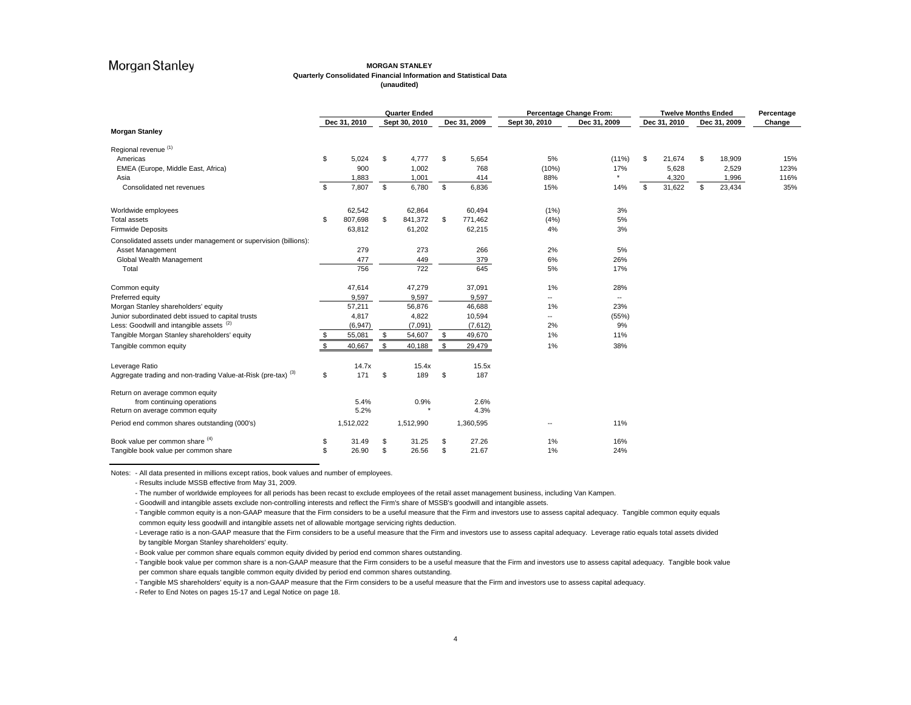#### **MORGAN STANLEY Quarterly Consolidated Financial Information and Statistical Data (unaudited)**

|                                                                          | <b>Quarter Ended</b> |              |    | Percentage Change From:<br><b>Twelve Months Ended</b> |               |               |                          |    |              | Percentage |              |        |
|--------------------------------------------------------------------------|----------------------|--------------|----|-------------------------------------------------------|---------------|---------------|--------------------------|----|--------------|------------|--------------|--------|
|                                                                          |                      | Dec 31, 2010 |    | Sept 30, 2010                                         | Dec 31, 2009  | Sept 30, 2010 | Dec 31, 2009             |    | Dec 31, 2010 |            | Dec 31, 2009 | Change |
| <b>Morgan Stanley</b>                                                    |                      |              |    |                                                       |               |               |                          |    |              |            |              |        |
| Regional revenue (1)                                                     |                      |              |    |                                                       |               |               |                          |    |              |            |              |        |
| Americas                                                                 | \$                   | 5,024        | \$ | 4,777                                                 | \$<br>5,654   | 5%            | $(11\%)$                 | \$ | 21,674       | \$.        | 18,909       | 15%    |
| EMEA (Europe, Middle East, Africa)                                       |                      | 900          |    | 1,002                                                 | 768           | (10%)         | 17%                      |    | 5,628        |            | 2,529        | 123%   |
| Asia                                                                     |                      | 1,883        |    | 1,001                                                 | 414           | 88%           | $\star$                  |    | 4,320        |            | 1,996        | 116%   |
| Consolidated net revenues                                                | \$                   | 7,807        | \$ | 6,780                                                 | \$<br>6,836   | 15%           | 14%                      | \$ | 31,622       | \$         | 23,434       | 35%    |
| Worldwide employees                                                      |                      | 62,542       |    | 62,864                                                | 60,494        | (1%)          | 3%                       |    |              |            |              |        |
| <b>Total assets</b>                                                      | \$                   | 807,698      | \$ | 841,372                                               | \$<br>771,462 | (4%)          | 5%                       |    |              |            |              |        |
| <b>Firmwide Deposits</b>                                                 |                      | 63,812       |    | 61,202                                                | 62,215        | 4%            | 3%                       |    |              |            |              |        |
| Consolidated assets under management or supervision (billions):          |                      |              |    |                                                       |               |               |                          |    |              |            |              |        |
| Asset Management                                                         |                      | 279          |    | 273                                                   | 266           | 2%            | 5%                       |    |              |            |              |        |
| Global Wealth Management                                                 |                      | 477          |    | 449                                                   | 379           | 6%            | 26%                      |    |              |            |              |        |
| Total                                                                    |                      | 756          |    | 722                                                   | 645           | 5%            | 17%                      |    |              |            |              |        |
| Common equity                                                            |                      | 47,614       |    | 47,279                                                | 37,091        | 1%            | 28%                      |    |              |            |              |        |
| Preferred equity                                                         |                      | 9,597        |    | 9,597                                                 | 9,597         | ۰.            | $\overline{\phantom{a}}$ |    |              |            |              |        |
| Morgan Stanley shareholders' equity                                      |                      | 57,211       |    | 56,876                                                | 46,688        | 1%            | 23%                      |    |              |            |              |        |
| Junior subordinated debt issued to capital trusts                        |                      | 4,817        |    | 4,822                                                 | 10,594        | --            | (55%)                    |    |              |            |              |        |
| Less: Goodwill and intangible assets (2)                                 |                      | (6, 947)     |    | (7,091)                                               | (7,612)       | 2%            | 9%                       |    |              |            |              |        |
| Tangible Morgan Stanley shareholders' equity                             | \$                   | 55,081       | \$ | 54,607                                                | \$<br>49,670  | 1%            | 11%                      |    |              |            |              |        |
| Tangible common equity                                                   | S.                   | 40,667       | \$ | 40,188                                                | \$<br>29,479  | 1%            | 38%                      |    |              |            |              |        |
| Leverage Ratio                                                           |                      | 14.7x        |    | 15.4x                                                 | 15.5x         |               |                          |    |              |            |              |        |
| Aggregate trading and non-trading Value-at-Risk (pre-tax) <sup>(3)</sup> | \$                   | 171          | \$ | 189                                                   | \$<br>187     |               |                          |    |              |            |              |        |
| Return on average common equity                                          |                      |              |    |                                                       |               |               |                          |    |              |            |              |        |
| from continuing operations                                               |                      | 5.4%         |    | 0.9%                                                  | 2.6%          |               |                          |    |              |            |              |        |
| Return on average common equity                                          |                      | 5.2%         |    |                                                       | 4.3%          |               |                          |    |              |            |              |        |
| Period end common shares outstanding (000's)                             |                      | 1,512,022    |    | 1,512,990                                             | 1,360,595     | --            | 11%                      |    |              |            |              |        |
| Book value per common share (4)                                          | \$                   | 31.49        | \$ | 31.25                                                 | \$<br>27.26   | 1%            | 16%                      |    |              |            |              |        |
| Tangible book value per common share                                     | \$                   | 26.90        | \$ | 26.56                                                 | \$<br>21.67   | 1%            | 24%                      |    |              |            |              |        |

Notes: - All data presented in millions except ratios, book values and number of employees.

- Results include MSSB effective from May 31, 2009.

- The number of worldwide employees for all periods has been recast to exclude employees of the retail asset management business, including Van Kampen.

- Goodwill and intangible assets exclude non-controlling interests and reflect the Firm's share of MSSB's goodwill and intangible assets.

- Tangible common equity is a non-GAAP measure that the Firm considers to be a useful measure that the Firm and investors use to assess capital adequacy. Tangible common equity equals common equity less goodwill and intangible assets net of allowable mortgage servicing rights deduction.

- Leverage ratio is a non-GAAP measure that the Firm considers to be a useful measure that the Firm and investors use to assess capital adequacy. Leverage ratio equals total assets divided by tangible Morgan Stanley shareholders' equity.

- Book value per common share equals common equity divided by period end common shares outstanding.

- Tangible book value per common share is a non-GAAP measure that the Firm considers to be a useful measure that the Firm and investors use to assess capital adequacy. Tangible book value per common share equals tangible common equity divided by period end common shares outstanding.

- Tangible MS shareholders' equity is a non-GAAP measure that the Firm considers to be a useful measure that the Firm and investors use to assess capital adequacy.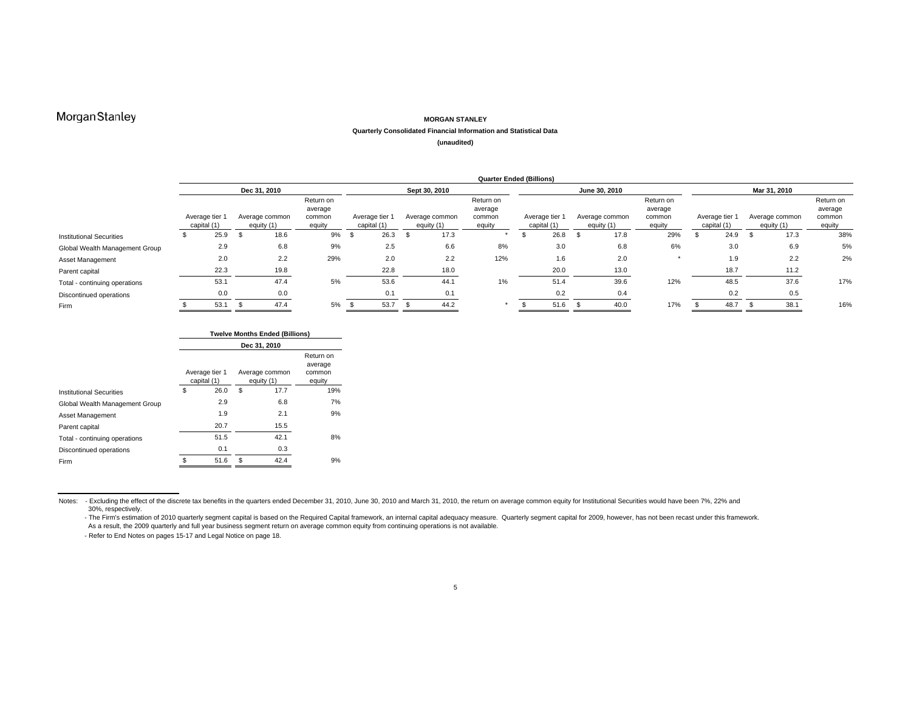#### **MORGAN STANLEY**

#### **Quarterly Consolidated Financial Information and Statistical Data**

**(unaudited)**

|                                 |                                                               | <b>Quarter Ended (Billions)</b> |      |                                          |     |                               |      |                              |                                          |       |                               |      |                              |                                          |                             |                              |                                          |     |
|---------------------------------|---------------------------------------------------------------|---------------------------------|------|------------------------------------------|-----|-------------------------------|------|------------------------------|------------------------------------------|-------|-------------------------------|------|------------------------------|------------------------------------------|-----------------------------|------------------------------|------------------------------------------|-----|
|                                 |                                                               |                                 |      | Dec 31, 2010                             |     |                               |      |                              | Sept 30, 2010                            |       |                               |      |                              | June 30, 2010                            |                             |                              | Mar 31, 2010                             |     |
|                                 | Average tier 1<br>Average common<br>capital (1)<br>equity (1) |                                 |      | Return on<br>average<br>common<br>equity |     | Average tier 1<br>capital (1) |      | Average common<br>equity (1) | Return on<br>average<br>common<br>equity |       | Average tier 1<br>capital (1) |      | Average common<br>equity (1) | Return on<br>average<br>common<br>equity | Average tier<br>capital (1) | Average common<br>equity (1) | Return on<br>average<br>common<br>equity |     |
| <b>Institutional Securities</b> |                                                               | 25.9                            | - 35 | 18.6                                     | 9%  | . ა                           | 26.3 |                              | 17.3                                     |       |                               | 26.8 |                              | 17.8                                     | 29%                         | 24.9                         | 17.3                                     | 38% |
| Global Wealth Management Group  |                                                               | 2.9                             |      | 6.8                                      | 9%  |                               | 2.5  |                              | 6.6                                      | 8%    |                               | 3.0  |                              | 6.8                                      | 6%                          | 3.0                          | 6.9                                      | 5%  |
| Asset Management                |                                                               | 2.0                             |      | 2.2                                      | 29% |                               | 2.0  |                              | 2.2                                      | 12%   |                               | 1.6  |                              | 2.0                                      |                             | 1.9                          | 2.2                                      | 2%  |
| Parent capital                  |                                                               | 22.3                            |      | 19.8                                     |     |                               | 22.8 |                              | 18.0                                     |       |                               | 20.0 |                              | 13.0                                     |                             | 18.7                         | 11.2                                     |     |
| Total - continuing operations   |                                                               | 53.1                            |      | 47.4                                     | 5%  |                               | 53.6 |                              | 44.1                                     | $1\%$ |                               | 51.4 |                              | 39.6                                     | 12%                         | 48.5                         | 37.6                                     | 17% |
| Discontinued operations         |                                                               | 0.0                             |      | 0.0                                      |     |                               | 0.1  |                              | 0.1                                      |       |                               | 0.2  |                              | 0.4                                      |                             | 0.2                          | 0.5                                      |     |
| Firm                            |                                                               | 53.1                            |      | 47.4                                     | 5%  |                               | 53.7 |                              | 44.2                                     |       |                               | 51.6 |                              | 40.0                                     | 17%                         | 48.7                         | 38.1                                     | 16% |

|                                 |    |                               | <b>Twelve Months Ended (Billions)</b> |                              |                                          |
|---------------------------------|----|-------------------------------|---------------------------------------|------------------------------|------------------------------------------|
|                                 |    |                               | Dec 31, 2010                          |                              |                                          |
|                                 |    | Average tier 1<br>capital (1) |                                       | Average common<br>equity (1) | Return on<br>average<br>common<br>equity |
| <b>Institutional Securities</b> | \$ | 26.0                          | \$                                    | 17.7                         | 19%                                      |
| Global Wealth Management Group  |    | 2.9                           |                                       | 6.8                          | 7%                                       |
| Asset Management                |    | 1.9                           |                                       | 2.1                          | 9%                                       |
| Parent capital                  |    | 20.7                          |                                       | 15.5                         |                                          |
| Total - continuing operations   |    | 51.5                          |                                       | 42.1                         | 8%                                       |
| Discontinued operations         |    | 0.1                           |                                       | 0.3                          |                                          |
| Firm                            | S  | 51.6                          | \$                                    | 42.4                         | 9%                                       |

Notes: - Excluding the effect of the discrete tax benefits in the quarters ended December 31, 2010, June 30, 2010 and March 31, 2010, the return on average common equity for Institutional Securities would have been 7%, 22%

<sup>30%,</sup> respectively.<br>- The Firm's estimation of 2010 quarterly segment capital is based on the Required Capital framework, an internal capital adequacy measure. Quarterly segment capital for 2009, however, has not been recas As a result, the 2009 quarterly and full year business segment return on average common equity from continuing operations is not available.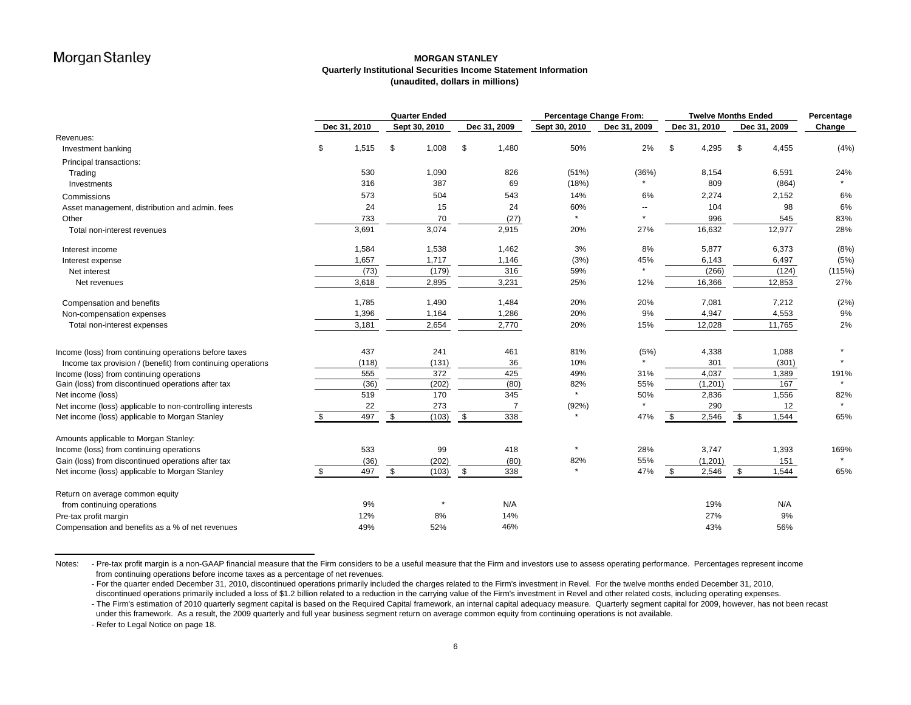### **MORGAN STANLEYQuarterly Institutional Securities Income Statement Information (unaudited, dollars in millions)**

|                                                             | <b>Quarter Ended</b> |              |             |               | <b>Percentage Change From:</b><br><b>Twelve Months Ended</b> |               |                          |               | Percentage   |        |
|-------------------------------------------------------------|----------------------|--------------|-------------|---------------|--------------------------------------------------------------|---------------|--------------------------|---------------|--------------|--------|
|                                                             |                      | Dec 31, 2010 |             | Sept 30, 2010 | Dec 31, 2009                                                 | Sept 30, 2010 | Dec 31, 2009             | Dec 31, 2010  | Dec 31, 2009 | Change |
| Revenues:                                                   |                      |              |             |               |                                                              |               |                          |               |              |        |
| Investment banking                                          | \$                   | 1,515        | \$          | 1,008         | \$<br>1,480                                                  | 50%           | 2%                       | \$<br>4,295   | \$<br>4,455  | (4% )  |
| Principal transactions:                                     |                      |              |             |               |                                                              |               |                          |               |              |        |
| Trading                                                     |                      | 530          |             | 1,090         | 826                                                          | (51%)         | (36%)                    | 8,154         | 6,591        | 24%    |
| Investments                                                 |                      | 316          |             | 387           | 69                                                           | (18%)         |                          | 809           | (864)        |        |
| Commissions                                                 |                      | 573          |             | 504           | 543                                                          | 14%           | 6%                       | 2,274         | 2,152        | 6%     |
| Asset management, distribution and admin. fees              |                      | 24           |             | 15            | 24                                                           | 60%           | $\overline{\phantom{a}}$ | 104           | 98           | 6%     |
| Other                                                       |                      | 733          |             | 70            | (27)                                                         |               | $\star$                  | 996           | 545          | 83%    |
| Total non-interest revenues                                 |                      | 3,691        |             | 3,074         | 2,915                                                        | 20%           | 27%                      | 16,632        | 12,977       | 28%    |
| Interest income                                             |                      | 1,584        |             | 1,538         | 1,462                                                        | 3%            | 8%                       | 5,877         | 6,373        | (8%)   |
| Interest expense                                            |                      | 1,657        |             | 1,717         | 1,146                                                        | (3%)          | 45%                      | 6,143         | 6,497        | (5%)   |
| Net interest                                                |                      | (73)         |             | (179)         | 316                                                          | 59%           | $\star$                  | (266)         | (124)        | (115%) |
| Net revenues                                                |                      | 3,618        |             | 2,895         | 3,231                                                        | 25%           | 12%                      | 16,366        | 12,853       | 27%    |
| Compensation and benefits                                   |                      | 1,785        |             | 1,490         | 1,484                                                        | 20%           | 20%                      | 7,081         | 7,212        | (2%)   |
| Non-compensation expenses                                   |                      | 1,396        |             | 1,164         | 1,286                                                        | 20%           | 9%                       | 4,947         | 4,553        | 9%     |
| Total non-interest expenses                                 |                      | 3,181        |             | 2,654         | 2,770                                                        | 20%           | 15%                      | 12,028        | 11,765       | 2%     |
| Income (loss) from continuing operations before taxes       |                      | 437          |             | 241           | 461                                                          | 81%           | (5%)                     | 4,338         | 1,088        |        |
| Income tax provision / (benefit) from continuing operations |                      | (118)        |             | (131)         | 36                                                           | 10%           | $\star$                  | 301           | (301)        |        |
| Income (loss) from continuing operations                    |                      | 555          |             | 372           | 425                                                          | 49%           | 31%                      | 4,037         | 1,389        | 191%   |
| Gain (loss) from discontinued operations after tax          |                      | (36)         |             | (202)         | (80)                                                         | 82%           | 55%                      | (1, 201)      | 167          |        |
| Net income (loss)                                           |                      | 519          |             | 170           | 345                                                          | $\star$       | 50%                      | 2,836         | 1,556        | 82%    |
| Net income (loss) applicable to non-controlling interests   |                      | 22           |             | 273           | 7                                                            | (92%)         |                          | 290           | 12           |        |
| Net income (loss) applicable to Morgan Stanley              | \$                   | 497          | \$          | (103)         | \$<br>338                                                    |               | 47%                      | 2,546<br>- \$ | \$<br>1,544  | 65%    |
| Amounts applicable to Morgan Stanley:                       |                      |              |             |               |                                                              |               |                          |               |              |        |
| Income (loss) from continuing operations                    |                      | 533          |             | 99            | 418                                                          |               | 28%                      | 3,747         | 1,393        | 169%   |
| Gain (loss) from discontinued operations after tax          |                      | (36)         |             | (202)         | (80)                                                         | 82%           | 55%                      | (1, 201)      | 151          |        |
| Net income (loss) applicable to Morgan Stanley              | \$                   | 497          | $\mathbb S$ | (103)         | \$<br>338                                                    |               | 47%                      | 2,546<br>- \$ | \$<br>1,544  | 65%    |
| Return on average common equity                             |                      |              |             |               |                                                              |               |                          |               |              |        |
| from continuing operations                                  |                      | 9%           |             |               | N/A                                                          |               |                          | 19%           | N/A          |        |
| Pre-tax profit margin                                       |                      | 12%          |             | 8%            | 14%                                                          |               |                          | 27%           | 9%           |        |
| Compensation and benefits as a % of net revenues            |                      | 49%          |             | 52%           | 46%                                                          |               |                          | 43%           | 56%          |        |

Notes: - Pre-tax profit margin is a non-GAAP financial measure that the Firm considers to be a useful measure that the Firm and investors use to assess operating performance. Percentages represent income from continuing operations before income taxes as a percentage of net revenues.

- For the quarter ended December 31, 2010, discontinued operations primarily included the charges related to the Firm's investment in Revel. For the twelve months ended December 31, 2010, discontinued operations primarily included a loss of \$1.2 billion related to a reduction in the carrying value of the Firm's investment in Revel and other related costs, including operating expenses.

- The Firm's estimation of 2010 quarterly segment capital is based on the Required Capital framework, an internal capital adequacy measure. Quarterly segment capital for 2009, however, has not been recast under this framework. As a result, the 2009 quarterly and full year business segment return on average common equity from continuing operations is not available.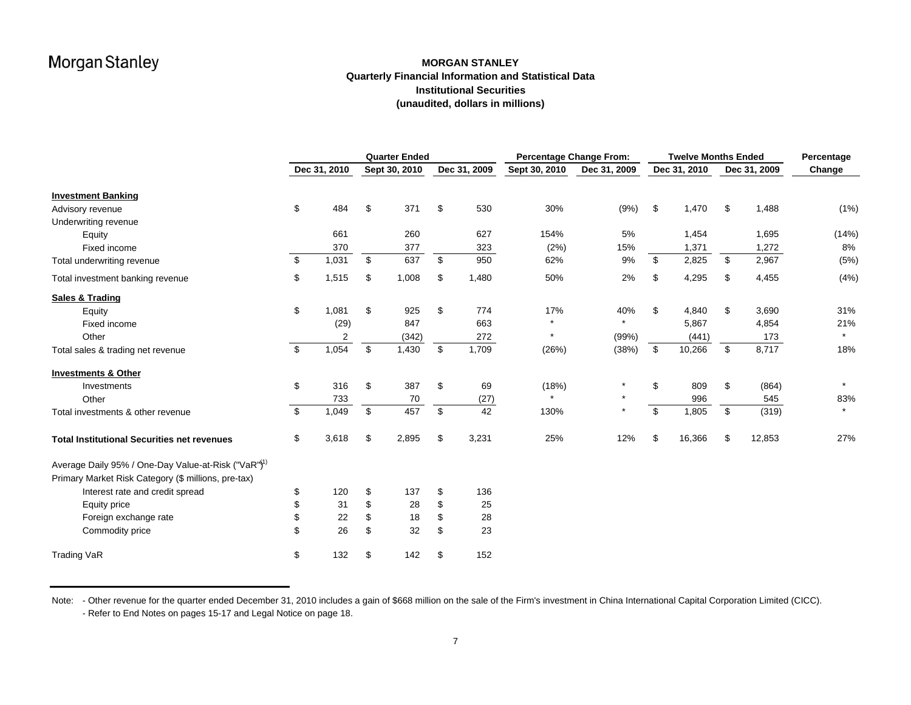### **MORGAN STANLEYQuarterly Financial Information and Statistical Data Institutional Securities (unaudited, dollars in millions)**

|                                                                 |              | <b>Quarter Ended</b> |              | <b>Percentage Change From:</b> |              | <b>Twelve Months Ended</b> |              | Percentage |  |
|-----------------------------------------------------------------|--------------|----------------------|--------------|--------------------------------|--------------|----------------------------|--------------|------------|--|
|                                                                 | Dec 31, 2010 | Sept 30, 2010        | Dec 31, 2009 | Sept 30, 2010                  | Dec 31, 2009 | Dec 31, 2010               | Dec 31, 2009 | Change     |  |
| <b>Investment Banking</b>                                       |              |                      |              |                                |              |                            |              |            |  |
| Advisory revenue                                                | \$<br>484    | \$<br>371            | \$<br>530    | 30%                            | (9% )        | \$<br>1,470                | \$<br>1,488  | (1% )      |  |
| Underwriting revenue                                            |              |                      |              |                                |              |                            |              |            |  |
| Equity                                                          | 661          | 260                  | 627          | 154%                           | 5%           | 1,454                      | 1,695        | (14%)      |  |
| Fixed income                                                    | 370          | 377                  | 323          | (2%)                           | 15%          | 1,371                      | 1,272        | 8%         |  |
| Total underwriting revenue                                      | \$<br>1,031  | \$<br>637            | \$<br>950    | 62%                            | 9%           | \$<br>2,825                | \$<br>2,967  | (5%)       |  |
| Total investment banking revenue                                | \$<br>1,515  | \$<br>1,008          | \$<br>1,480  | 50%                            | 2%           | \$<br>4,295                | \$<br>4,455  | (4% )      |  |
| <b>Sales &amp; Trading</b>                                      |              |                      |              |                                |              |                            |              |            |  |
| Equity                                                          | \$<br>1,081  | \$<br>925            | \$<br>774    | 17%                            | 40%          | \$<br>4,840                | \$<br>3,690  | 31%        |  |
| Fixed income                                                    | (29)         | 847                  | 663          | $\star$                        | $\star$      | 5,867                      | 4,854        | 21%        |  |
| Other                                                           | 2            | (342)                | 272          | $\star$                        | (99%)        | (441)                      | 173          | $\star$    |  |
| Total sales & trading net revenue                               | \$<br>1,054  | \$<br>1,430          | \$<br>1,709  | (26%)                          | (38%)        | \$<br>10,266               | \$<br>8,717  | 18%        |  |
| <b>Investments &amp; Other</b>                                  |              |                      |              |                                |              |                            |              |            |  |
| Investments                                                     | \$<br>316    | \$<br>387            | \$<br>69     | (18%)                          | $\star$      | \$<br>809                  | \$<br>(864)  | $\star$    |  |
| Other                                                           | 733          | 70                   | (27)         | $\star$                        | $\star$      | 996                        | 545          | 83%        |  |
| Total investments & other revenue                               | \$<br>1,049  | \$<br>457            | \$<br>42     | 130%                           | $\star$      | \$<br>1,805                | \$<br>(319)  | $\star$    |  |
| <b>Total Institutional Securities net revenues</b>              | \$<br>3,618  | \$<br>2,895          | \$<br>3,231  | 25%                            | 12%          | \$<br>16,366               | \$<br>12,853 | 27%        |  |
| Average Daily 95% / One-Day Value-at-Risk ("VaR") <sup>1)</sup> |              |                      |              |                                |              |                            |              |            |  |
| Primary Market Risk Category (\$ millions, pre-tax)             |              |                      |              |                                |              |                            |              |            |  |
| Interest rate and credit spread                                 | \$<br>120    | \$<br>137            | \$<br>136    |                                |              |                            |              |            |  |
| Equity price                                                    | \$<br>31     | \$<br>28             | \$<br>25     |                                |              |                            |              |            |  |
| Foreign exchange rate                                           | \$<br>22     | \$<br>18             | \$<br>28     |                                |              |                            |              |            |  |
| Commodity price                                                 | \$<br>26     | \$<br>32             | \$<br>23     |                                |              |                            |              |            |  |
| <b>Trading VaR</b>                                              | \$<br>132    | \$<br>142            | \$<br>152    |                                |              |                            |              |            |  |

Note: - Other revenue for the quarter ended December 31, 2010 includes a gain of \$668 million on the sale of the Firm's investment in China International Capital Corporation Limited (CICC). - Refer to End Notes on pages 15-17 and Legal Notice on page 18.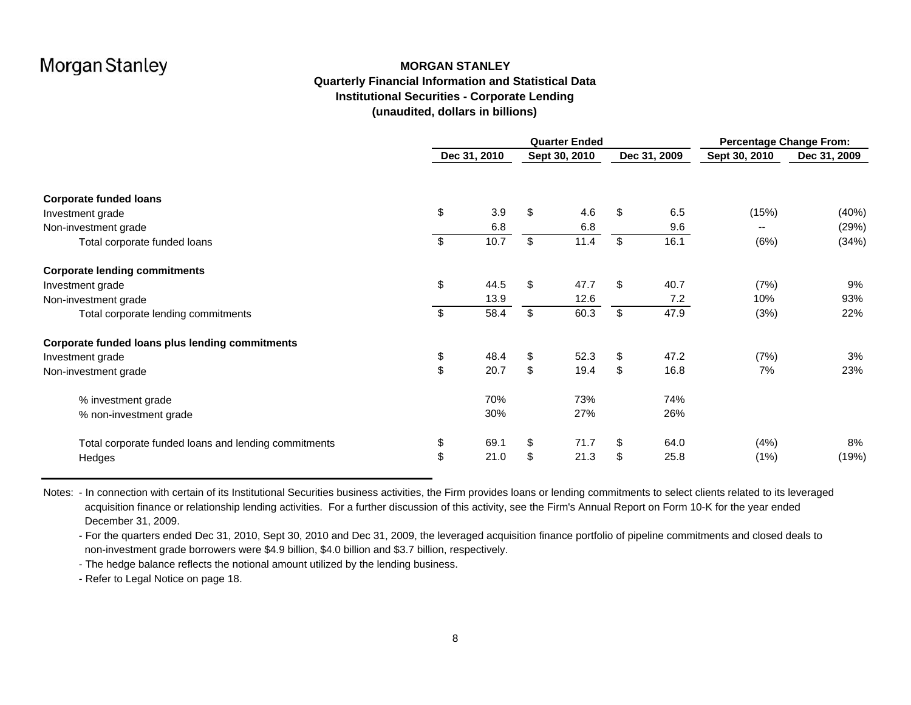### **MORGAN STANLEYQuarterly Financial Information and Statistical Data Institutional Securities - Corporate Lending (unaudited, dollars in billions)**

|                                                      | <b>Quarter Ended</b> |              |    |               |    |              | <b>Percentage Change From:</b> |              |  |
|------------------------------------------------------|----------------------|--------------|----|---------------|----|--------------|--------------------------------|--------------|--|
|                                                      |                      | Dec 31, 2010 |    | Sept 30, 2010 |    | Dec 31, 2009 | Sept 30, 2010                  | Dec 31, 2009 |  |
| <b>Corporate funded loans</b>                        |                      |              |    |               |    |              |                                |              |  |
| Investment grade                                     | \$                   | 3.9          | \$ | 4.6           | \$ | 6.5          | (15%)                          | (40%)        |  |
| Non-investment grade                                 |                      | 6.8          |    | 6.8           |    | 9.6          | $- -$                          | (29%)        |  |
| Total corporate funded loans                         | $\sqrt[6]{2}$        | 10.7         | \$ | 11.4          | \$ | 16.1         | (6%)                           | (34%)        |  |
| <b>Corporate lending commitments</b>                 |                      |              |    |               |    |              |                                |              |  |
| Investment grade                                     | \$                   | 44.5         | \$ | 47.7          | \$ | 40.7         | (7%)                           | 9%           |  |
| Non-investment grade                                 |                      | 13.9         |    | 12.6          |    | 7.2          | 10%                            | 93%          |  |
| Total corporate lending commitments                  | $\sqrt[6]{2}$        | 58.4         | \$ | 60.3          | \$ | 47.9         | (3%)                           | 22%          |  |
| Corporate funded loans plus lending commitments      |                      |              |    |               |    |              |                                |              |  |
| Investment grade                                     | \$                   | 48.4         | \$ | 52.3          | \$ | 47.2         | (7%)                           | 3%           |  |
| Non-investment grade                                 | \$                   | 20.7         | \$ | 19.4          | \$ | 16.8         | 7%                             | 23%          |  |
| % investment grade                                   |                      | 70%          |    | 73%           |    | 74%          |                                |              |  |
| % non-investment grade                               |                      | 30%          |    | 27%           |    | 26%          |                                |              |  |
| Total corporate funded loans and lending commitments | \$                   | 69.1         | \$ | 71.7          | \$ | 64.0         | (4%)                           | 8%           |  |
| Hedges                                               | \$                   | 21.0         | \$ | 21.3          | \$ | 25.8         | (1%)                           | (19%)        |  |

Notes: - In connection with certain of its Institutional Securities business activities, the Firm provides loans or lending commitments to select clients related to its leveraged acquisition finance or relationship lending activities. For a further discussion of this activity, see the Firm's Annual Report on Form 10-K for the year ended December 31, 2009.

- For the quarters ended Dec 31, 2010, Sept 30, 2010 and Dec 31, 2009, the leveraged acquisition finance portfolio of pipeline commitments and closed deals to non-investment grade borrowers were \$4.9 billion, \$4.0 billion and \$3.7 billion, respectively.

- The hedge balance reflects the notional amount utilized by the lending business.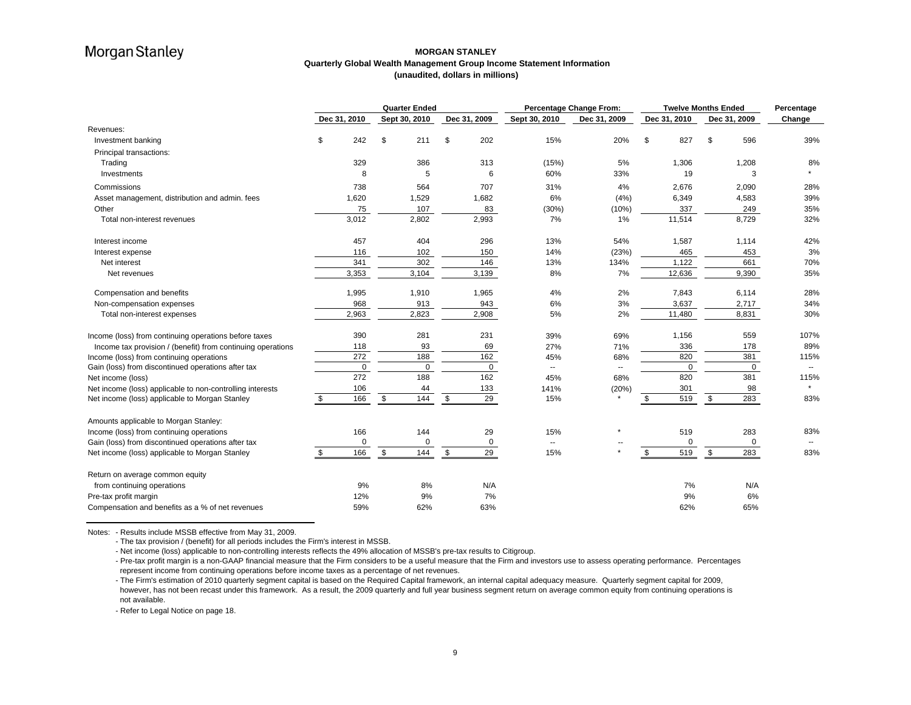### **MORGAN STANLEYQuarterly Global Wealth Management Group Income Statement Information (unaudited, dollars in millions)**

|                                                             |              | <b>Quarter Ended</b> |               |              |             | Percentage Change From: | <b>Twelve Months Ended</b> |    |              |    | Percentage   |                          |
|-------------------------------------------------------------|--------------|----------------------|---------------|--------------|-------------|-------------------------|----------------------------|----|--------------|----|--------------|--------------------------|
|                                                             | Dec 31, 2010 |                      | Sept 30, 2010 | Dec 31, 2009 |             | Sept 30, 2010           | Dec 31, 2009               |    | Dec 31, 2010 |    | Dec 31, 2009 | Change                   |
| Revenues:                                                   |              |                      |               |              |             |                         |                            |    |              |    |              |                          |
| Investment banking                                          | \$<br>242    | \$                   | 211           | \$           | 202         | 15%                     | 20%                        | \$ | 827          | \$ | 596          | 39%                      |
| Principal transactions:                                     |              |                      |               |              |             |                         |                            |    |              |    |              |                          |
| Trading                                                     | 329          |                      | 386           |              | 313         | (15%)                   | 5%                         |    | 1,306        |    | 1,208        | 8%                       |
| Investments                                                 | 8            |                      | 5             |              | 6           | 60%                     | 33%                        |    | 19           |    | 3            |                          |
| Commissions                                                 | 738          |                      | 564           |              | 707         | 31%                     | 4%                         |    | 2,676        |    | 2,090        | 28%                      |
| Asset management, distribution and admin. fees              | 1,620        |                      | 1,529         |              | 1,682       | 6%                      | (4% )                      |    | 6,349        |    | 4,583        | 39%                      |
| Other                                                       | 75           |                      | 107           |              | 83          | (30%)                   | (10%)                      |    | 337          |    | 249          | 35%                      |
| Total non-interest revenues                                 | 3,012        |                      | 2,802         |              | 2,993       | 7%                      | 1%                         |    | 11,514       |    | 8,729        | 32%                      |
| Interest income                                             | 457          |                      | 404           |              | 296         | 13%                     | 54%                        |    | 1,587        |    | 1,114        | 42%                      |
| Interest expense                                            | 116          |                      | 102           |              | 150         | 14%                     | (23%)                      |    | 465          |    | 453          | 3%                       |
| Net interest                                                | 341          |                      | 302           |              | 146         | 13%                     | 134%                       |    | 1,122        |    | 661          | 70%                      |
| Net revenues                                                | 3,353        |                      | 3,104         |              | 3,139       | 8%                      | 7%                         |    | 12,636       |    | 9,390        | 35%                      |
| Compensation and benefits                                   | 1,995        |                      | 1,910         |              | 1,965       | 4%                      | 2%                         |    | 7,843        |    | 6,114        | 28%                      |
| Non-compensation expenses                                   | 968          |                      | 913           |              | 943         | 6%                      | 3%                         |    | 3,637        |    | 2,717        | 34%                      |
| Total non-interest expenses                                 | 2,963        |                      | 2,823         |              | 2,908       | 5%                      | 2%                         |    | 11,480       |    | 8,831        | 30%                      |
| Income (loss) from continuing operations before taxes       | 390          |                      | 281           |              | 231         | 39%                     | 69%                        |    | 1,156        |    | 559          | 107%                     |
| Income tax provision / (benefit) from continuing operations | 118          |                      | 93            |              | 69          | 27%                     | 71%                        |    | 336          |    | 178          | 89%                      |
| Income (loss) from continuing operations                    | 272          |                      | 188           |              | 162         | 45%                     | 68%                        |    | 820          |    | 381          | 115%                     |
| Gain (loss) from discontinued operations after tax          | $\mathbf{0}$ |                      | $\mathbf 0$   |              | $\mathbf 0$ | --                      | $\overline{\phantom{a}}$   |    | $\mathbf 0$  |    | $\mathbf 0$  | $\overline{\phantom{a}}$ |
| Net income (loss)                                           | 272          |                      | 188           |              | 162         | 45%                     | 68%                        |    | 820          |    | 381          | 115%                     |
| Net income (loss) applicable to non-controlling interests   | 106          |                      | 44            |              | 133         | 141%                    | (20%)                      |    | 301          |    | 98           | $\star$                  |
| Net income (loss) applicable to Morgan Stanley              | \$<br>166    | \$                   | 144           | \$           | 29          | 15%                     |                            | \$ | 519          | \$ | 283          | 83%                      |
| Amounts applicable to Morgan Stanley:                       |              |                      |               |              |             |                         |                            |    |              |    |              |                          |
| Income (loss) from continuing operations                    | 166          |                      | 144           |              | 29          | 15%                     |                            |    | 519          |    | 283          | 83%                      |
| Gain (loss) from discontinued operations after tax          | $\mathbf 0$  |                      | $\Omega$      |              | $\mathbf 0$ | --                      |                            |    | $\Omega$     |    | $\mathbf 0$  |                          |
| Net income (loss) applicable to Morgan Stanley              | \$<br>166    | \$                   | 144           | \$           | 29          | 15%                     |                            | \$ | 519          | \$ | 283          | 83%                      |
| Return on average common equity                             |              |                      |               |              |             |                         |                            |    |              |    |              |                          |
| from continuing operations                                  | 9%           |                      | 8%            |              | N/A         |                         |                            |    | 7%           |    | N/A          |                          |
| Pre-tax profit margin                                       | 12%          |                      | 9%            |              | 7%          |                         |                            |    | 9%           |    | 6%           |                          |
| Compensation and benefits as a % of net revenues            | 59%          |                      | 62%           |              | 63%         |                         |                            |    | 62%          |    | 65%          |                          |

Notes: - Results include MSSB effective from May 31, 2009.

- The tax provision / (benefit) for all periods includes the Firm's interest in MSSB.

- Net income (loss) applicable to non-controlling interests reflects the 49% allocation of MSSB's pre-tax results to Citigroup.

- Pre-tax profit margin is a non-GAAP financial measure that the Firm considers to be a useful measure that the Firm and investors use to assess operating performance. Percentages represent income from continuing operations before income taxes as a percentage of net revenues.

- The Firm's estimation of 2010 quarterly segment capital is based on the Required Capital framework, an internal capital adequacy measure. Quarterly segment capital for 2009, however, has not been recast under this framework. As a result, the 2009 quarterly and full year business segment return on average common equity from continuing operations is not available.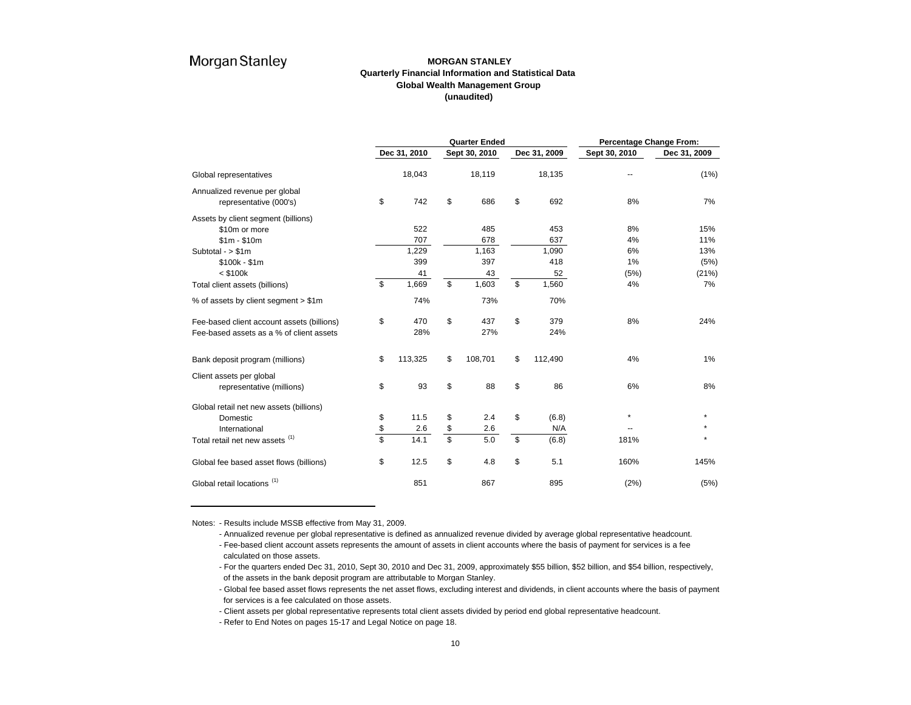### **MORGAN STANLEYQuarterly Financial Information and Statistical Data Global Wealth Management Group (unaudited)**

|                                            | <b>Quarter Ended</b> |              |               |               |    |              | Percentage Change From: |              |  |  |
|--------------------------------------------|----------------------|--------------|---------------|---------------|----|--------------|-------------------------|--------------|--|--|
|                                            |                      | Dec 31, 2010 |               | Sept 30, 2010 |    | Dec 31, 2009 | Sept 30, 2010           | Dec 31, 2009 |  |  |
| Global representatives                     |                      | 18,043       |               | 18,119        |    | 18,135       |                         | (1%)         |  |  |
| Annualized revenue per global              |                      |              |               |               |    |              |                         |              |  |  |
| representative (000's)                     | \$                   | 742          | \$            | 686           | \$ | 692          | 8%                      | 7%           |  |  |
| Assets by client segment (billions)        |                      |              |               |               |    |              |                         |              |  |  |
| \$10m or more                              |                      | 522          |               | 485           |    | 453          | 8%                      | 15%          |  |  |
| $$1m - $10m$                               |                      | 707          |               | 678           |    | 637          | 4%                      | 11%          |  |  |
| Subtotal - $> $1m$                         |                      | 1,229        |               | 1,163         |    | 1,090        | 6%                      | 13%          |  |  |
| $$100k - $1m$                              |                      | 399          |               | 397           |    | 418          | 1%                      | (5%)         |  |  |
| $<$ \$100 $k$                              |                      | 41           |               | 43            |    | 52           | (5%)                    | (21%)        |  |  |
| Total client assets (billions)             | \$                   | 1,669        | \$            | 1,603         | \$ | 1,560        | 4%                      | 7%           |  |  |
| % of assets by client segment > \$1m       |                      | 74%          |               | 73%           |    | 70%          |                         |              |  |  |
| Fee-based client account assets (billions) | \$                   | 470          | \$            | 437           | \$ | 379          | 8%                      | 24%          |  |  |
| Fee-based assets as a % of client assets   |                      | 28%          |               | 27%           |    | 24%          |                         |              |  |  |
| Bank deposit program (millions)            | \$                   | 113,325      | \$            | 108,701       | \$ | 112,490      | 4%                      | 1%           |  |  |
| Client assets per global                   |                      |              |               |               |    |              |                         |              |  |  |
| representative (millions)                  | \$                   | 93           | \$            | 88            | \$ | 86           | 6%                      | 8%           |  |  |
| Global retail net new assets (billions)    |                      |              |               |               |    |              |                         |              |  |  |
| Domestic                                   | \$                   | 11.5         | \$            | 2.4           | \$ | (6.8)        | $\star$                 | $\star$      |  |  |
| International                              | $\frac{\$}{\$}$      | 2.6          | $\frac{6}{3}$ | 2.6           |    | N/A          |                         |              |  |  |
| Total retail net new assets (1)            |                      | 14.1         |               | 5.0           | \$ | (6.8)        | 181%                    |              |  |  |
| Global fee based asset flows (billions)    | \$                   | 12.5         | \$            | 4.8           | \$ | 5.1          | 160%                    | 145%         |  |  |
| Global retail locations <sup>(1)</sup>     |                      | 851          |               | 867           |    | 895          | (2%)                    | (5%)         |  |  |

Notes: - Results include MSSB effective from May 31, 2009.

- Annualized revenue per global representative is defined as annualized revenue divided by average global representative headcount. - Fee-based client account assets represents the amount of assets in client accounts where the basis of payment for services is a fee calculated on those assets.

- For the quarters ended Dec 31, 2010, Sept 30, 2010 and Dec 31, 2009, approximately \$55 billion, \$52 billion, and \$54 billion, respectively, of the assets in the bank deposit program are attributable to Morgan Stanley.

- Global fee based asset flows represents the net asset flows, excluding interest and dividends, in client accounts where the basis of payment for services is a fee calculated on those assets.

- Client assets per global representative represents total client assets divided by period end global representative headcount.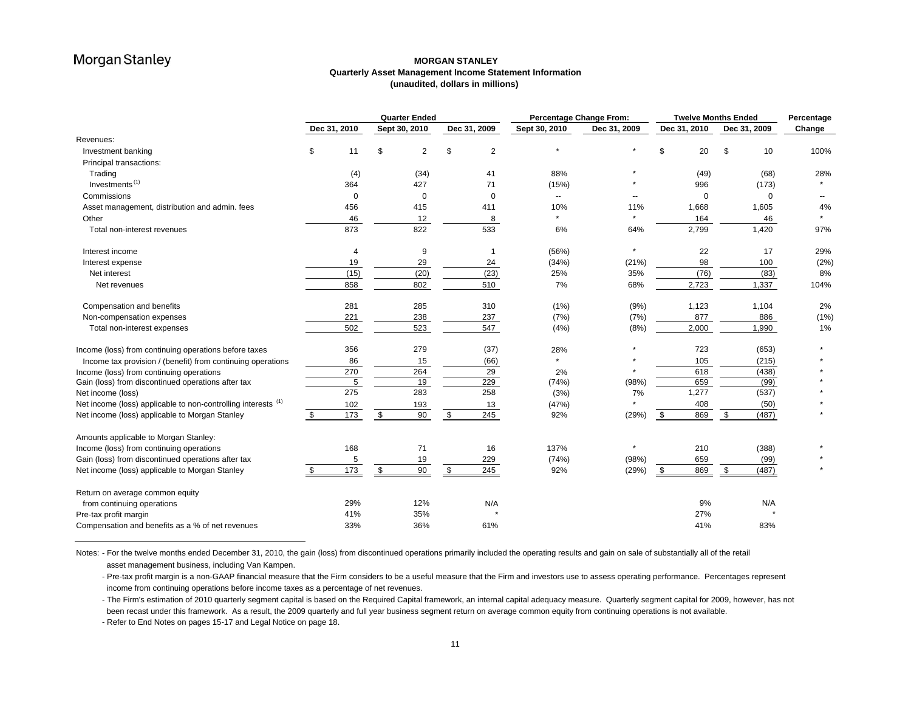### **MORGAN STANLEY Quarterly Asset Management Income Statement Information (unaudited, dollars in millions)**

|                                                               | <b>Quarter Ended</b> |              |    |               | <b>Percentage Change From:</b> |                          | <b>Twelve Months Ended</b> |              |              |        |
|---------------------------------------------------------------|----------------------|--------------|----|---------------|--------------------------------|--------------------------|----------------------------|--------------|--------------|--------|
|                                                               |                      | Dec 31, 2010 |    | Sept 30, 2010 | Dec 31, 2009                   | Sept 30, 2010            | Dec 31, 2009               | Dec 31, 2010 | Dec 31, 2009 | Change |
| Revenues:                                                     |                      |              |    |               |                                |                          |                            |              |              |        |
| Investment banking                                            | \$                   | 11           | \$ | 2             | \$<br>$\overline{2}$           |                          |                            | 20<br>\$     | 10<br>\$     | 100%   |
| Principal transactions:                                       |                      |              |    |               |                                |                          |                            |              |              |        |
| Trading                                                       |                      | (4)          |    | (34)          | 41                             | 88%                      |                            | (49)         | (68)         | 28%    |
| Investments <sup>(1)</sup>                                    |                      | 364          |    | 427           | 71                             | (15%)                    |                            | 996          | (173)        |        |
| Commissions                                                   |                      | $\mathbf 0$  |    | $\mathbf 0$   | $\mathbf 0$                    | $\overline{\phantom{a}}$ | $\sim$                     | $\Omega$     | $\Omega$     |        |
| Asset management, distribution and admin. fees                |                      | 456          |    | 415           | 411                            | 10%                      | 11%                        | 1,668        | 1,605        | 4%     |
| Other                                                         |                      | 46           |    | 12            | 8                              | $\star$                  |                            | 164          | 46           |        |
| Total non-interest revenues                                   |                      | 873          |    | 822           | 533                            | 6%                       | 64%                        | 2,799        | 1,420        | 97%    |
| Interest income                                               |                      | 4            |    | 9             | $\overline{1}$                 | (56%)                    | $\star$                    | 22           | 17           | 29%    |
| Interest expense                                              |                      | 19           |    | 29            | 24                             | (34%)                    | (21%)                      | 98           | 100          | (2%)   |
| Net interest                                                  |                      | (15)         |    | (20)          | (23)                           | 25%                      | 35%                        | (76)         | (83)         | 8%     |
| Net revenues                                                  |                      | 858          |    | 802           | 510                            | 7%                       | 68%                        | 2,723        | 1,337        | 104%   |
| Compensation and benefits                                     |                      | 281          |    | 285           | 310                            | (1%)                     | (9%)                       | 1,123        | 1,104        | 2%     |
| Non-compensation expenses                                     |                      | 221          |    | 238           | 237                            | (7%)                     | (7%)                       | 877          | 886          | (1% )  |
| Total non-interest expenses                                   |                      | 502          |    | 523           | 547                            | (4%)                     | (8%)                       | 2,000        | 1,990        | 1%     |
| Income (loss) from continuing operations before taxes         |                      | 356          |    | 279           | (37)                           | 28%                      |                            | 723          | (653)        |        |
| Income tax provision / (benefit) from continuing operations   |                      | 86           |    | 15            | (66)                           | $\star$                  |                            | 105          | (215)        |        |
| Income (loss) from continuing operations                      |                      | 270          |    | 264           | 29                             | 2%                       |                            | 618          | (438)        |        |
| Gain (loss) from discontinued operations after tax            |                      | 5            |    | 19            | 229                            | (74%)                    | (98%)                      | 659          | (99)         |        |
| Net income (loss)                                             |                      | 275          |    | 283           | 258                            | (3%)                     | 7%                         | 1,277        | (537)        |        |
| Net income (loss) applicable to non-controlling interests (1) |                      | 102          |    | 193           | 13                             | (47%)                    |                            | 408          | (50)         |        |
| Net income (loss) applicable to Morgan Stanley                | \$                   | 173          | \$ | $90\,$        | \$<br>245                      | 92%                      | (29%)                      | 869<br>\$    | (487)<br>\$  |        |
| Amounts applicable to Morgan Stanley:                         |                      |              |    |               |                                |                          |                            |              |              |        |
| Income (loss) from continuing operations                      |                      | 168          |    | 71            | 16                             | 137%                     | $\star$                    | 210          | (388)        |        |
| Gain (loss) from discontinued operations after tax            |                      | 5            |    | 19            | 229                            | (74%)                    | (98%)                      | 659          | (99)         |        |
| Net income (loss) applicable to Morgan Stanley                | \$.                  | 173          | \$ | 90            | \$<br>245                      | 92%                      | (29%)                      | 869<br>-\$   | (487)<br>\$. |        |
| Return on average common equity                               |                      |              |    |               |                                |                          |                            |              |              |        |
| from continuing operations                                    |                      | 29%          |    | 12%           | N/A                            |                          |                            | 9%           | N/A          |        |
| Pre-tax profit margin                                         |                      | 41%          |    | 35%           |                                |                          |                            | 27%          |              |        |
| Compensation and benefits as a % of net revenues              |                      | 33%          |    | 36%           | 61%                            |                          |                            | 41%          | 83%          |        |

Notes: - For the twelve months ended December 31, 2010, the gain (loss) from discontinued operations primarily included the operating results and gain on sale of substantially all of the retail asset management business, including Van Kampen.

- Pre-tax profit margin is a non-GAAP financial measure that the Firm considers to be a useful measure that the Firm and investors use to assess operating performance. Percentages represent income from continuing operations before income taxes as a percentage of net revenues.

- The Firm's estimation of 2010 quarterly segment capital is based on the Required Capital framework, an internal capital adequacy measure. Quarterly segment capital for 2009, however, has not been recast under this framework. As a result, the 2009 quarterly and full year business segment return on average common equity from continuing operations is not available.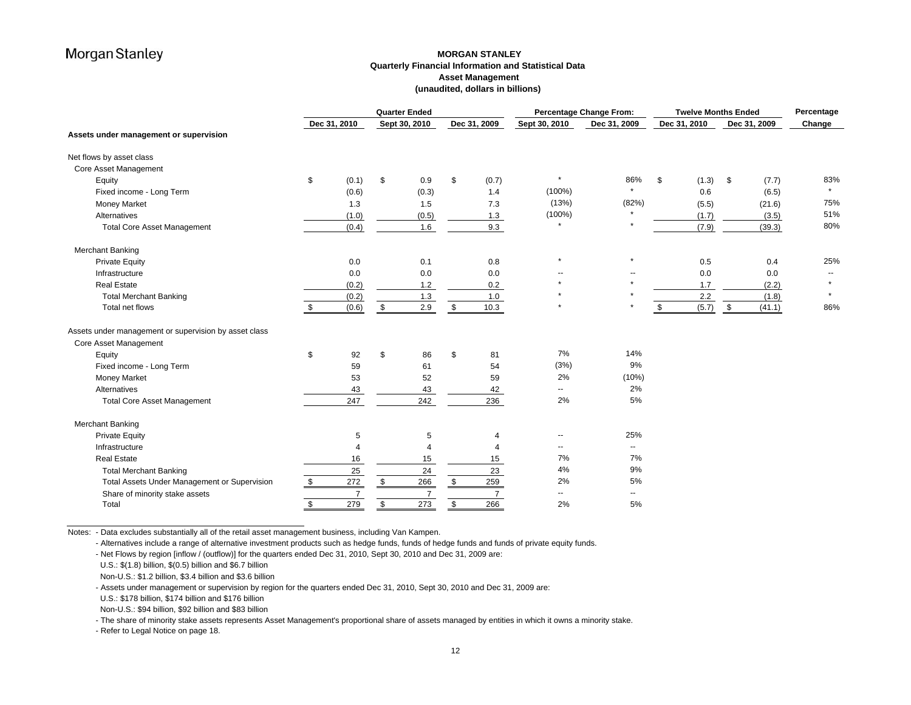### **MORGAN STANLEY Quarterly Financial Information and Statistical Data Asset Management (unaudited, dollars in billions)**

|                                                       | <b>Quarter Ended</b> |                |            |                |               |                | <b>Percentage Change From:</b><br><b>Twelve Months Ended</b> |                          |              |              | Percentage |
|-------------------------------------------------------|----------------------|----------------|------------|----------------|---------------|----------------|--------------------------------------------------------------|--------------------------|--------------|--------------|------------|
|                                                       |                      | Dec 31, 2010   |            | Sept 30, 2010  |               | Dec 31, 2009   | Sept 30, 2010                                                | Dec 31, 2009             | Dec 31, 2010 | Dec 31, 2009 | Change     |
| Assets under management or supervision                |                      |                |            |                |               |                |                                                              |                          |              |              |            |
| Net flows by asset class                              |                      |                |            |                |               |                |                                                              |                          |              |              |            |
| Core Asset Management                                 |                      |                |            |                |               |                |                                                              |                          |              |              |            |
| Equity                                                | \$                   | (0.1)          | \$         | 0.9            | \$            | (0.7)          | $\star$                                                      | 86%                      | \$<br>(1.3)  | (7.7)<br>\$  | 83%        |
| Fixed income - Long Term                              |                      | (0.6)          |            | (0.3)          |               | 1.4            | $(100\%)$                                                    | $\star$                  | 0.6          | (6.5)        |            |
| <b>Money Market</b>                                   |                      | 1.3            |            | 1.5            |               | 7.3            | (13%)                                                        | (82%)                    | (5.5)        | (21.6)       | 75%        |
| Alternatives                                          |                      | (1.0)          |            | (0.5)          |               | 1.3            | $(100\%)$                                                    |                          | (1.7)        | (3.5)        | 51%        |
| <b>Total Core Asset Management</b>                    |                      | (0.4)          |            | 1.6            |               | 9.3            | $\star$                                                      |                          | (7.9)        | (39.3)       | 80%        |
| Merchant Banking                                      |                      |                |            |                |               |                |                                                              |                          |              |              |            |
| <b>Private Equity</b>                                 |                      | 0.0            |            | 0.1            |               | 0.8            | $\star$                                                      | $\star$                  | 0.5          | 0.4          | 25%        |
| Infrastructure                                        |                      | 0.0            |            | 0.0            |               | 0.0            |                                                              |                          | 0.0          | 0.0          |            |
| <b>Real Estate</b>                                    |                      | (0.2)          |            | 1.2            |               | 0.2            |                                                              |                          | 1.7          | (2.2)        |            |
| <b>Total Merchant Banking</b>                         |                      | (0.2)          |            | 1.3            |               | 1.0            |                                                              |                          | 2.2          | (1.8)        | $\star$    |
| Total net flows                                       | \$                   | (0.6)          | \$         | 2.9            | \$            | 10.3           | $\star$                                                      | $\star$                  | (5.7)<br>\$  | (41.1)<br>\$ | 86%        |
| Assets under management or supervision by asset class |                      |                |            |                |               |                |                                                              |                          |              |              |            |
| Core Asset Management                                 |                      |                |            |                |               |                |                                                              |                          |              |              |            |
| Equity                                                | \$                   | 92             | \$         | 86             | \$            | 81             | 7%                                                           | 14%                      |              |              |            |
| Fixed income - Long Term                              |                      | 59             |            | 61             |               | 54             | (3%)                                                         | 9%                       |              |              |            |
| <b>Money Market</b>                                   |                      | 53             |            | 52             |               | 59             | 2%                                                           | (10%)                    |              |              |            |
| Alternatives                                          |                      | 43             |            | 43             |               | 42             | $\sim$                                                       | 2%                       |              |              |            |
| <b>Total Core Asset Management</b>                    |                      | 247            |            | 242            |               | 236            | 2%                                                           | 5%                       |              |              |            |
| Merchant Banking                                      |                      |                |            |                |               |                |                                                              |                          |              |              |            |
| <b>Private Equity</b>                                 |                      | 5              |            | 5              |               | 4              | $\sim$                                                       | 25%                      |              |              |            |
| Infrastructure                                        |                      | $\overline{4}$ |            | 4              |               | 4              | --                                                           | $\overline{\phantom{a}}$ |              |              |            |
| <b>Real Estate</b>                                    |                      | 16             |            | 15             |               | 15             | 7%                                                           | 7%                       |              |              |            |
| <b>Total Merchant Banking</b>                         |                      | 25             |            | 24             |               | 23             | 4%                                                           | 9%                       |              |              |            |
| Total Assets Under Management or Supervision          | $\frac{1}{2}$        | 272            | $\sqrt{2}$ | 266            | $\frac{1}{2}$ | 259            | 2%                                                           | 5%                       |              |              |            |
| Share of minority stake assets                        |                      | $\overline{7}$ |            | $\overline{7}$ |               | $\overline{7}$ | $\overline{\phantom{a}}$                                     | $\overline{\phantom{a}}$ |              |              |            |
| Total                                                 | \$                   | 279            | \$         | 273            | \$            | 266            | 2%                                                           | 5%                       |              |              |            |

Notes: - Data excludes substantially all of the retail asset management business, including Van Kampen.

- Alternatives include a range of alternative investment products such as hedge funds, funds of hedge funds and funds of private equity funds.

- Net Flows by region [inflow / (outflow)] for the quarters ended Dec 31, 2010, Sept 30, 2010 and Dec 31, 2009 are:

U.S.: \$(1.8) billion, \$(0.5) billion and \$6.7 billion

Non-U.S.: \$1.2 billion, \$3.4 billion and \$3.6 billion

- Assets under management or supervision by region for the quarters ended Dec 31, 2010, Sept 30, 2010 and Dec 31, 2009 are:

U.S.: \$178 billion, \$174 billion and \$176 billion

Non-U.S.: \$94 billion, \$92 billion and \$83 billion

- The share of minority stake assets represents Asset Management's proportional share of assets managed by entities in which it owns a minority stake.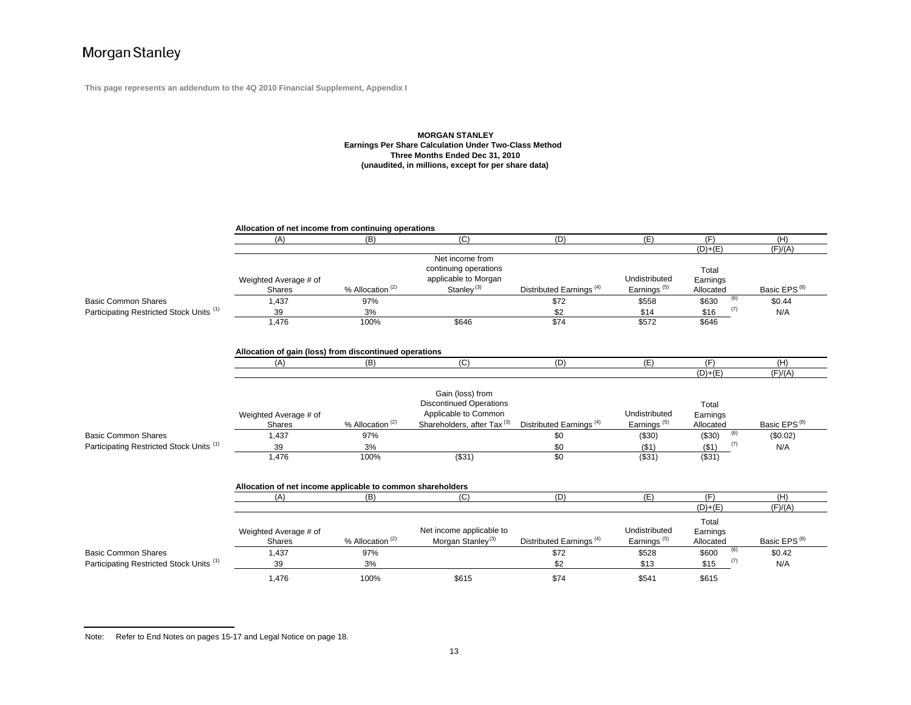**This page represents an addendum to the 4Q 2010 Financial Supplement, Appendix I**

### **MORGAN STANLEY Earnings Per Share Calculation Under Two-Class Method Three Months Ended Dec 31, 2010 (unaudited, in millions, except for per share data)**

|                                          | Allocation of net income from continuing operations        |                             |                                                                                      |                                     |                                          |                                |                          |  |  |  |
|------------------------------------------|------------------------------------------------------------|-----------------------------|--------------------------------------------------------------------------------------|-------------------------------------|------------------------------------------|--------------------------------|--------------------------|--|--|--|
|                                          | (A)                                                        | (B)                         | (C)                                                                                  | (D)                                 | (E)                                      | (F)                            | (H)                      |  |  |  |
|                                          |                                                            |                             |                                                                                      |                                     |                                          | $(D)+(E)$                      | (F)/(A)                  |  |  |  |
|                                          | Weighted Average # of<br><b>Shares</b>                     | % Allocation <sup>(2)</sup> | Net income from<br>continuing operations<br>applicable to Morgan<br>Stanley $^{(3)}$ | Distributed Earnings <sup>(4)</sup> | Undistributed<br>Earnings <sup>(5)</sup> | Total<br>Earnings<br>Allocated | Basic EPS <sup>(8)</sup> |  |  |  |
| <b>Basic Common Shares</b>               | 1,437                                                      | 97%                         |                                                                                      | \$72                                | \$558                                    | (6)<br>\$630                   | \$0.44                   |  |  |  |
| Participating Restricted Stock Units (1) | 39                                                         | 3%                          |                                                                                      | \$2                                 | \$14                                     | (7)<br>\$16                    | N/A                      |  |  |  |
|                                          | 1,476                                                      | 100%                        | \$646                                                                                | \$74                                | \$572                                    | \$646                          |                          |  |  |  |
|                                          | Allocation of gain (loss) from discontinued operations     |                             |                                                                                      |                                     |                                          |                                |                          |  |  |  |
|                                          | (A)                                                        | (B)                         | (C)                                                                                  | (D)                                 | (E)                                      | (F)                            | (H)                      |  |  |  |
|                                          |                                                            |                             |                                                                                      |                                     |                                          | $(D)+(E)$                      | (F)/(A)                  |  |  |  |
|                                          |                                                            |                             |                                                                                      |                                     |                                          |                                |                          |  |  |  |
|                                          | Weighted Average # of                                      |                             | Gain (loss) from<br><b>Discontinued Operations</b><br>Applicable to Common           |                                     | Undistributed                            | Total<br>Earnings              |                          |  |  |  |
|                                          | Shares                                                     | % Allocation <sup>(2)</sup> | Shareholders, after Tax <sup>(3)</sup>                                               | Distributed Earnings <sup>(4)</sup> | Earnings <sup>(5)</sup>                  | Allocated                      | Basic EPS <sup>(8)</sup> |  |  |  |
| <b>Basic Common Shares</b>               | 1,437                                                      | 97%                         |                                                                                      | \$0                                 | (\$30)                                   | (6)<br>(\$30)                  | (\$0.02)                 |  |  |  |
| Participating Restricted Stock Units (1) | 39                                                         | 3%                          |                                                                                      | \$0                                 | ( \$1)                                   | (7)<br>( \$1)                  | N/A                      |  |  |  |
|                                          | 1.476                                                      | 100%                        | (\$31)                                                                               | \$0                                 | (\$31)                                   | ( \$31)                        |                          |  |  |  |
|                                          | Allocation of net income applicable to common shareholders |                             |                                                                                      |                                     |                                          |                                |                          |  |  |  |
|                                          | (A)                                                        | (B)                         | (C)                                                                                  | (D)                                 | (E)                                      | (F)                            | (H)                      |  |  |  |
|                                          |                                                            |                             |                                                                                      |                                     |                                          | $(D)+(E)$                      | (F)/(A)                  |  |  |  |
|                                          | Weighted Average # of<br><b>Shares</b>                     | % Allocation <sup>(2)</sup> | Net income applicable to<br>Morgan Stanley <sup>(3)</sup>                            | Distributed Earnings <sup>(4)</sup> | Undistributed<br>Earnings <sup>(5)</sup> | Total<br>Earnings<br>Allocated | Basic EPS <sup>(8)</sup> |  |  |  |
| <b>Basic Common Shares</b>               | 1,437                                                      | 97%                         |                                                                                      | \$72                                | \$528                                    | (6)<br>\$600                   | \$0.42                   |  |  |  |
| Participating Restricted Stock Units (1) | 39                                                         | 3%                          |                                                                                      | \$2                                 | \$13                                     | (7)<br>\$15                    | N/A                      |  |  |  |
|                                          | 1.476                                                      | 100%                        | \$615                                                                                | \$74                                | \$541                                    | \$615                          |                          |  |  |  |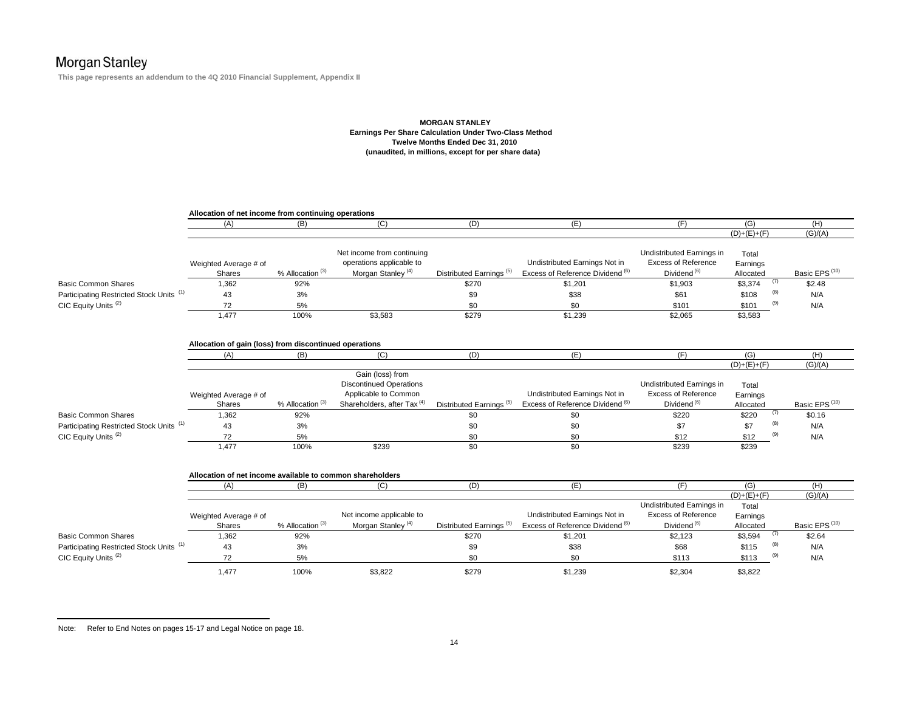**This page represents an addendum to the 4Q 2010 Financial Supplement, Appendix II**

#### **MORGAN STANLEY Earnings Per Share Calculation Under Two-Class Method Twelve Months Ended Dec 31, 2010 (unaudited, in millions, except for per share data)**

|                                                     | Allocation of net income from continuing operations           |                             |                                                                                                                      |                                     |                                                                              |                                                                                    |                                |                           |
|-----------------------------------------------------|---------------------------------------------------------------|-----------------------------|----------------------------------------------------------------------------------------------------------------------|-------------------------------------|------------------------------------------------------------------------------|------------------------------------------------------------------------------------|--------------------------------|---------------------------|
|                                                     | (A)                                                           | (B)                         | (C)                                                                                                                  | (D)                                 | (E)                                                                          | (F)                                                                                | (G)                            | (H)                       |
|                                                     |                                                               |                             |                                                                                                                      |                                     |                                                                              |                                                                                    | $(D)+(E)+(F)$                  | (G)/(A)                   |
|                                                     | Weighted Average # of<br><b>Shares</b>                        | % Allocation <sup>(3)</sup> | Net income from continuing<br>operations applicable to<br>Morgan Stanley <sup>(4)</sup>                              | Distributed Earnings <sup>(5)</sup> | Undistributed Earnings Not in<br>Excess of Reference Dividend (6)            | Undistributed Earnings in<br><b>Excess of Reference</b><br>Dividend <sup>(6)</sup> | Total<br>Earnings<br>Allocated | Basic EPS <sup>(10)</sup> |
| <b>Basic Common Shares</b>                          | 1,362                                                         | 92%                         |                                                                                                                      | \$270                               | \$1,201                                                                      | \$1,903                                                                            | (7)<br>\$3,374                 | \$2.48                    |
| Participating Restricted Stock Units <sup>(1)</sup> | 43                                                            | 3%                          |                                                                                                                      | \$9                                 | \$38                                                                         | \$61                                                                               | (8)<br>\$108                   | N/A                       |
| CIC Equity Units <sup>(2)</sup>                     | 72                                                            | 5%                          |                                                                                                                      | \$0                                 | \$0                                                                          | \$101                                                                              | \$101                          | N/A                       |
|                                                     | 1,477                                                         | 100%                        | \$3,583                                                                                                              | \$279                               | \$1,239                                                                      | \$2,065                                                                            | \$3,583                        |                           |
|                                                     | Allocation of gain (loss) from discontinued operations<br>(A) | (B)                         | (C)                                                                                                                  | (D)                                 | (E)                                                                          | (F)                                                                                | (G)                            | (H)                       |
|                                                     |                                                               |                             |                                                                                                                      |                                     |                                                                              |                                                                                    | $(D)+(E)+(F)$                  | (G)/(A)                   |
|                                                     | Weighted Average # of<br><b>Shares</b>                        | % Allocation <sup>(3)</sup> | Gain (loss) from<br><b>Discontinued Operations</b><br>Applicable to Common<br>Shareholders, after Tax <sup>(4)</sup> | Distributed Earnings <sup>(5)</sup> | Undistributed Earnings Not in<br>Excess of Reference Dividend (6)            | Undistributed Earnings in<br><b>Excess of Reference</b><br>Dividend <sup>(6)</sup> | Total<br>Earnings<br>Allocated | Basic EPS <sup>(10)</sup> |
| <b>Basic Common Shares</b>                          | 1,362                                                         | 92%                         |                                                                                                                      | \$0                                 | \$0                                                                          | \$220                                                                              | (7)<br>\$220                   | \$0.16                    |
| Participating Restricted Stock Units <sup>(1)</sup> | 43                                                            | 3%                          |                                                                                                                      | \$0                                 | \$0                                                                          | \$7                                                                                | (8)<br>\$7                     | N/A                       |
| CIC Equity Units <sup>(2)</sup>                     | 72                                                            | 5%                          |                                                                                                                      | \$0                                 | \$0                                                                          | \$12                                                                               | (9)<br>\$12                    | N/A                       |
|                                                     | 1,477                                                         | 100%                        | \$239                                                                                                                | $\overline{50}$                     | \$0                                                                          | \$239                                                                              | \$239                          |                           |
|                                                     | Allocation of net income available to common shareholders     |                             |                                                                                                                      |                                     |                                                                              |                                                                                    |                                |                           |
|                                                     | (A)                                                           | (B)                         | (C)                                                                                                                  | (D)                                 | (E)                                                                          | (F)                                                                                | (G)                            | (H)                       |
|                                                     |                                                               |                             |                                                                                                                      |                                     |                                                                              |                                                                                    | $(D)+(E)+(F)$                  | (G)/(A)                   |
|                                                     | Weighted Average # of<br><b>Shares</b>                        | % Allocation <sup>(3)</sup> | Net income applicable to<br>Morgan Stanley <sup>(4)</sup>                                                            | Distributed Earnings <sup>(5)</sup> | Undistributed Earnings Not in<br>Excess of Reference Dividend <sup>(6)</sup> | Undistributed Earnings in<br><b>Excess of Reference</b><br>Dividend <sup>(6)</sup> | Total<br>Earnings<br>Allocated | Basic EPS <sup>(10)</sup> |
| <b>Basic Common Shares</b>                          | 1,362                                                         | 92%                         |                                                                                                                      | \$270                               | \$1,201                                                                      | \$2,123                                                                            | (7)<br>\$3,594                 | \$2.64                    |
| Participating Restricted Stock Units <sup>(1)</sup> | 43                                                            | 3%                          |                                                                                                                      | \$9                                 | \$38                                                                         | \$68                                                                               | (8)<br>\$115                   | N/A                       |
| CIC Equity Units <sup>(2)</sup>                     | 72                                                            | 5%                          |                                                                                                                      | \$0                                 | \$0                                                                          | \$113                                                                              | (9)<br>\$113                   | N/A                       |
|                                                     | 1,477                                                         | 100%                        | \$3,822                                                                                                              | \$279                               | \$1,239                                                                      | \$2,304                                                                            | \$3,822                        |                           |

Note: Refer to End Notes on pages 15-17 and Legal Notice on page 18.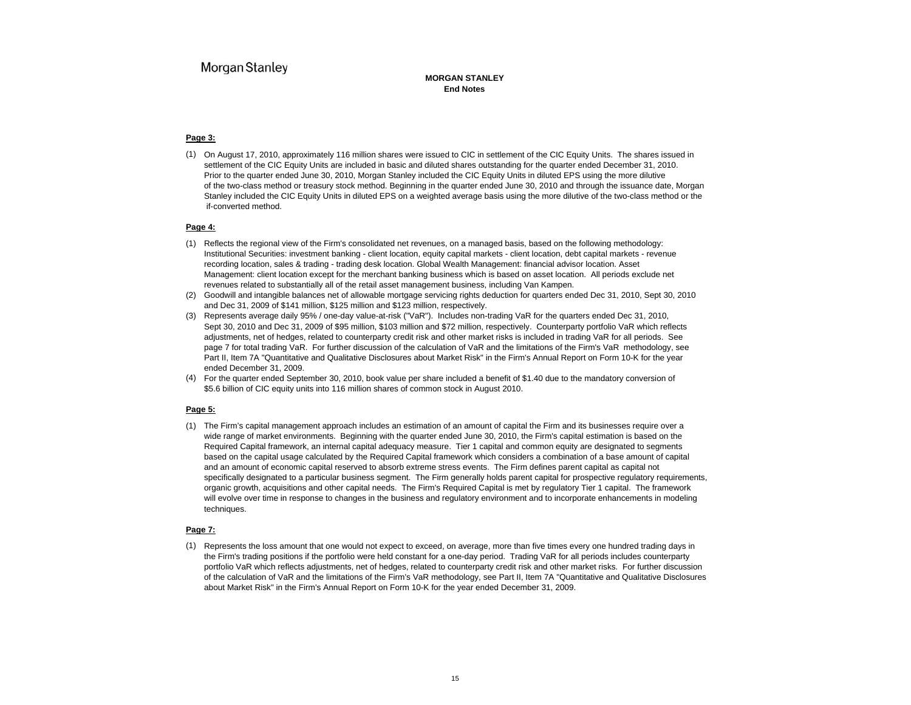#### **MORGAN STANLEYEnd Notes**

#### **Page 3:**

(1) On August 17, 2010, approximately 116 million shares were issued to CIC in settlement of the CIC Equity Units. The shares issued in settlement of the CIC Equity Units are included in basic and diluted shares outstanding for the quarter ended December 31, 2010. Prior to the quarter ended June 30, 2010, Morgan Stanley included the CIC Equity Units in diluted EPS using the more dilutive of the two-class method or treasury stock method. Beginning in the quarter ended June 30, 2010 and through the issuance date, Morgan Stanley included the CIC Equity Units in diluted EPS on a weighted average basis using the more dilutive of the two-class method or the if-converted method.

#### **Page 4:**

- (1) Reflects the regional view of the Firm's consolidated net revenues, on a managed basis, based on the following methodology: Institutional Securities: investment banking - client location, equity capital markets - client location, debt capital markets - revenue recording location, sales & trading - trading desk location. Global Wealth Management: financial advisor location. Asset Management: client location except for the merchant banking business which is based on asset location. All periods exclude net revenues related to substantially all of the retail asset management business, including Van Kampen.
- (2) Goodwill and intangible balances net of allowable mortgage servicing rights deduction for quarters ended Dec 31, 2010, Sept 30, 2010 and Dec 31, 2009 of \$141 million, \$125 million and \$123 million, respectively.
- (3) Represents average daily 95% / one-day value-at-risk ("VaR"). Includes non-trading VaR for the quarters ended Dec 31, 2010, Sept 30, 2010 and Dec 31, 2009 of \$95 million, \$103 million and \$72 million, respectively. Counterparty portfolio VaR which reflects adjustments, net of hedges, related to counterparty credit risk and other market risks is included in trading VaR for all periods. See page 7 for total trading VaR. For further discussion of the calculation of VaR and the limitations of the Firm's VaR methodology, see Part II, Item 7A "Quantitative and Qualitative Disclosures about Market Risk" in the Firm's Annual Report on Form 10-K for the year ended December 31, 2009.
- (4) For the quarter ended September 30, 2010, book value per share included a benefit of \$1.40 due to the mandatory conversion of \$5.6 billion of CIC equity units into 116 million shares of common stock in August 2010.

#### **Page 5:**

(1) The Firm's capital management approach includes an estimation of an amount of capital the Firm and its businesses require over a wide range of market environments. Beginning with the quarter ended June 30, 2010, the Firm's capital estimation is based on the Required Capital framework, an internal capital adequacy measure. Tier 1 capital and common equity are designated to segments based on the capital usage calculated by the Required Capital framework which considers a combination of a base amount of capital and an amount of economic capital reserved to absorb extreme stress events. The Firm defines parent capital as capital not specifically designated to a particular business segment. The Firm generally holds parent capital for prospective regulatory requirements, organic growth, acquisitions and other capital needs. The Firm's Required Capital is met by regulatory Tier 1 capital. The framework will evolve over time in response to changes in the business and regulatory environment and to incorporate enhancements in modeling techniques.

#### **Page 7:**

(1) Represents the loss amount that one would not expect to exceed, on average, more than five times every one hundred trading days in the Firm's trading positions if the portfolio were held constant for a one-day period. Trading VaR for all periods includes counterparty portfolio VaR which reflects adjustments, net of hedges, related to counterparty credit risk and other market risks. For further discussion of the calculation of VaR and the limitations of the Firm's VaR methodology, see Part II, Item 7A "Quantitative and Qualitative Disclosures about Market Risk" in the Firm's Annual Report on Form 10-K for the year ended December 31, 2009.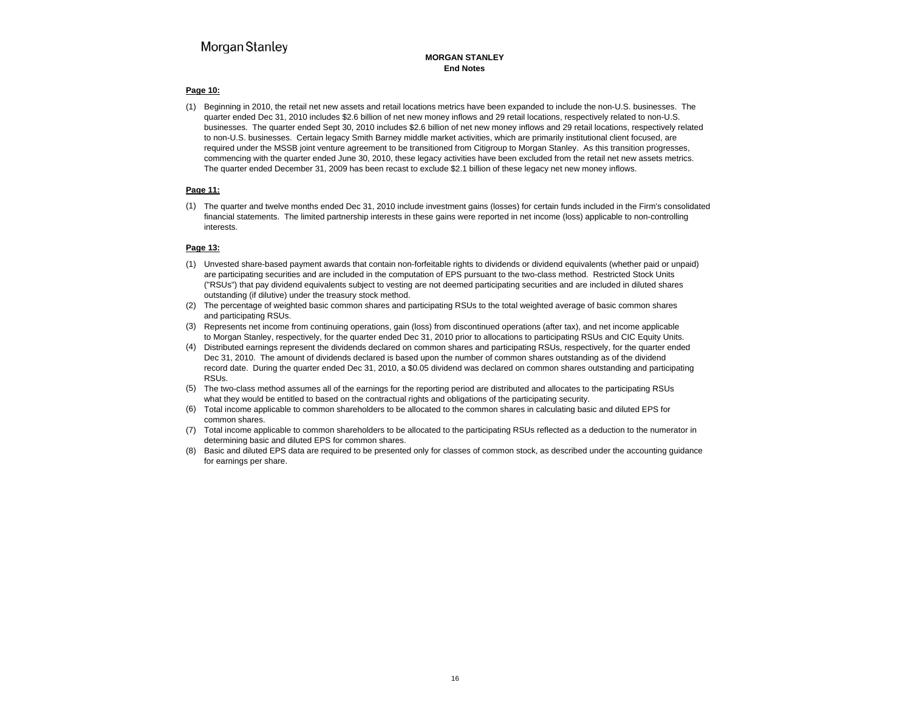#### **MORGAN STANLEYEnd Notes**

### **Page 10:**

(1) Beginning in 2010, the retail net new assets and retail locations metrics have been expanded to include the non-U.S. businesses. The quarter ended Dec 31, 2010 includes \$2.6 billion of net new money inflows and 29 retail locations, respectively related to non-U.S. businesses. The quarter ended Sept 30, 2010 includes \$2.6 billion of net new money inflows and 29 retail locations, respectively related to non-U.S. businesses. Certain legacy Smith Barney middle market activities, which are primarily institutional client focused, are required under the MSSB joint venture agreement to be transitioned from Citigroup to Morgan Stanley. As this transition progresses, commencing with the quarter ended June 30, 2010, these legacy activities have been excluded from the retail net new assets metrics. The quarter ended December 31, 2009 has been recast to exclude \$2.1 billion of these legacy net new money inflows.

### **Page 11:**

(1) The quarter and twelve months ended Dec 31, 2010 include investment gains (losses) for certain funds included in the Firm's consolidated financial statements. The limited partnership interests in these gains were reported in net income (loss) applicable to non-controlling interests.

### **Page 13:**

- (1) Unvested share-based payment awards that contain non-forfeitable rights to dividends or dividend equivalents (whether paid or unpaid) are participating securities and are included in the computation of EPS pursuant to the two-class method. Restricted Stock Units ("RSUs") that pay dividend equivalents subject to vesting are not deemed participating securities and are included in diluted shares outstanding (if dilutive) under the treasury stock method.
- (2) The percentage of weighted basic common shares and participating RSUs to the total weighted average of basic common shares and participating RSUs.
- (3) Represents net income from continuing operations, gain (loss) from discontinued operations (after tax), and net income applicable to Morgan Stanley, respectively, for the quarter ended Dec 31, 2010 prior to allocations to participating RSUs and CIC Equity Units.
- (4) Distributed earnings represent the dividends declared on common shares and participating RSUs, respectively, for the quarter ended Dec 31, 2010. The amount of dividends declared is based upon the number of common shares outstanding as of the dividend record date. During the quarter ended Dec 31, 2010, a \$0.05 dividend was declared on common shares outstanding and participating RSUs.
- (5) The two-class method assumes all of the earnings for the reporting period are distributed and allocates to the participating RSUs what they would be entitled to based on the contractual rights and obligations of the participating security.
- (6) Total income applicable to common shareholders to be allocated to the common shares in calculating basic and diluted EPS for common shares.
- (7) Total income applicable to common shareholders to be allocated to the participating RSUs reflected as a deduction to the numerator in determining basic and diluted EPS for common shares.
- (8) Basic and diluted EPS data are required to be presented only for classes of common stock, as described under the accounting guidance for earnings per share.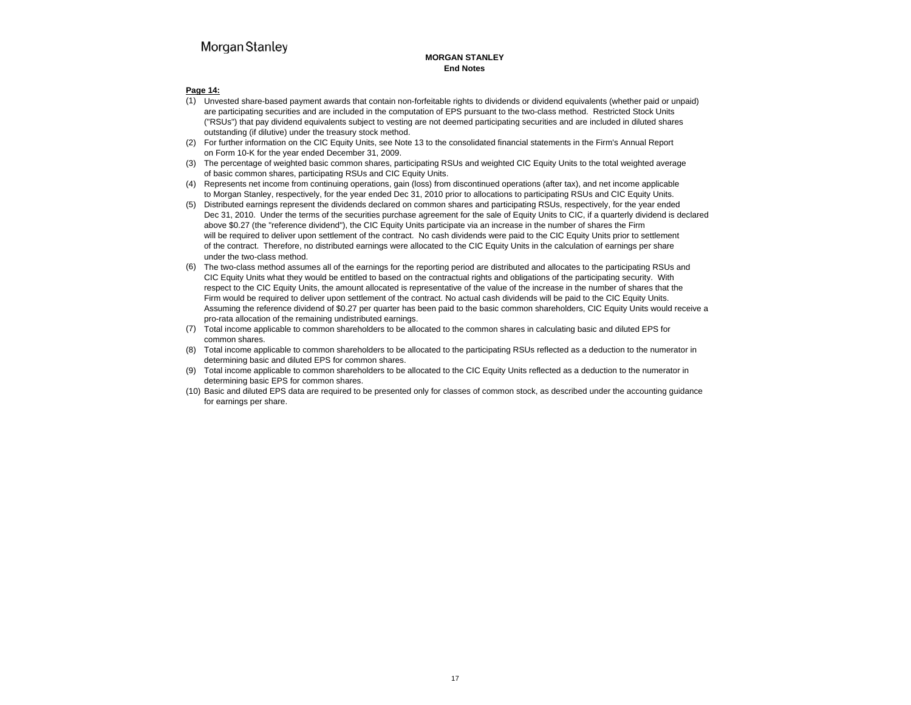### **MORGAN STANLEYEnd Notes**

#### **Page 14:**

- (1) Unvested share-based payment awards that contain non-forfeitable rights to dividends or dividend equivalents (whether paid or unpaid) are participating securities and are included in the computation of EPS pursuant to the two-class method. Restricted Stock Units ("RSUs") that pay dividend equivalents subject to vesting are not deemed participating securities and are included in diluted shares outstanding (if dilutive) under the treasury stock method.
- (2) For further information on the CIC Equity Units, see Note 13 to the consolidated financial statements in the Firm's Annual Report on Form 10-K for the year ended December 31, 2009.
- (3) The percentage of weighted basic common shares, participating RSUs and weighted CIC Equity Units to the total weighted average of basic common shares, participating RSUs and CIC Equity Units.
- (4) Represents net income from continuing operations, gain (loss) from discontinued operations (after tax), and net income applicable to Morgan Stanley, respectively, for the year ended Dec 31, 2010 prior to allocations to participating RSUs and CIC Equity Units.
- (5) Distributed earnings represent the dividends declared on common shares and participating RSUs, respectively, for the year ended Dec 31, 2010. Under the terms of the securities purchase agreement for the sale of Equity Units to CIC, if a quarterly dividend is declared above \$0.27 (the "reference dividend"), the CIC Equity Units participate via an increase in the number of shares the Firm will be required to deliver upon settlement of the contract. No cash dividends were paid to the CIC Equity Units prior to settlement of the contract. Therefore, no distributed earnings were allocated to the CIC Equity Units in the calculation of earnings per share under the two-class method.
- The two-class method assumes all of the earnings for the reporting period are distributed and allocates to the participating RSUs and CIC Equity Units what they would be entitled to based on the contractual rights and obligations of the participating security. With respect to the CIC Equity Units, the amount allocated is representative of the value of the increase in the number of shares that the Firm would be required to deliver upon settlement of the contract. No actual cash dividends will be paid to the CIC Equity Units. Assuming the reference dividend of \$0.27 per quarter has been paid to the basic common shareholders, CIC Equity Units would receive a pro-rata allocation of the remaining undistributed earnings.
- (7) Total income applicable to common shareholders to be allocated to the common shares in calculating basic and diluted EPS for common shares.
- (8) Total income applicable to common shareholders to be allocated to the participating RSUs reflected as a deduction to the numerator in determining basic and diluted EPS for common shares.
- (9) Total income applicable to common shareholders to be allocated to the CIC Equity Units reflected as a deduction to the numerator in determining basic EPS for common shares.
- (10) Basic and diluted EPS data are required to be presented only for classes of common stock, as described under the accounting guidance for earnings per share.